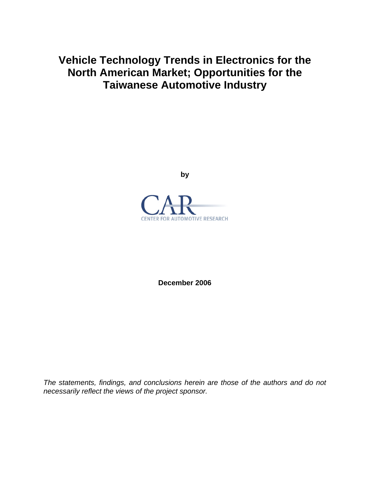# **Vehicle Technology Trends in Electronics for the North American Market; Opportunities for the Taiwanese Automotive Industry**

**by** 



**December 2006** 

*The statements, findings, and conclusions herein are those of the authors and do not necessarily reflect the views of the project sponsor.*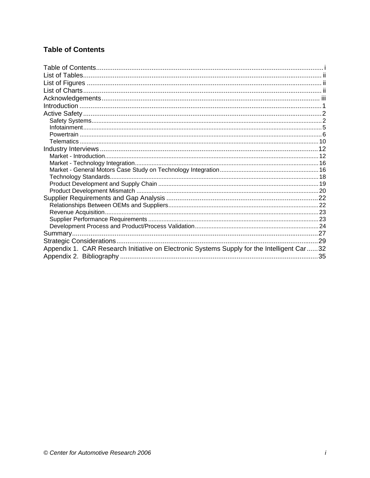# **Table of Contents**

| Technology Standards                                                                       |  |
|--------------------------------------------------------------------------------------------|--|
|                                                                                            |  |
|                                                                                            |  |
|                                                                                            |  |
|                                                                                            |  |
|                                                                                            |  |
|                                                                                            |  |
|                                                                                            |  |
|                                                                                            |  |
| Appendix 1. CAR Research Initiative on Electronic Systems Supply for the Intelligent Car32 |  |
|                                                                                            |  |
|                                                                                            |  |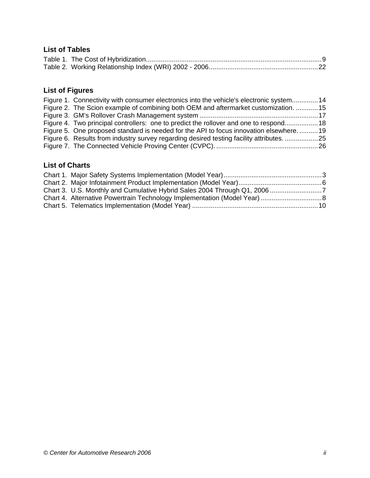# **List of Tables**

# **List of Figures**

| Figure 1. Connectivity with consumer electronics into the vehicle's electronic system 14 |  |
|------------------------------------------------------------------------------------------|--|
| Figure 2. The Scion example of combining both OEM and aftermarket customization. 15      |  |
|                                                                                          |  |
| Figure 4. Two principal controllers: one to predict the rollover and one to respond 18   |  |
| Figure 5. One proposed standard is needed for the API to focus innovation elsewhere19    |  |
| Figure 6. Results from industry survey regarding desired testing facility attributes25   |  |
|                                                                                          |  |

# **List of Charts**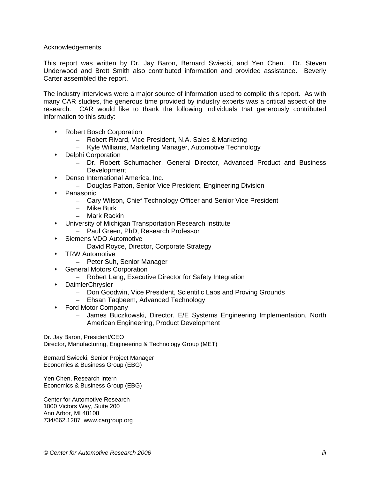#### Acknowledgements

This report was written by Dr. Jay Baron, Bernard Swiecki, and Yen Chen. Dr. Steven Underwood and Brett Smith also contributed information and provided assistance. Beverly Carter assembled the report.

The industry interviews were a major source of information used to compile this report. As with many CAR studies, the generous time provided by industry experts was a critical aspect of the research. CAR would like to thank the following individuals that generously contributed information to this study:

- Robert Bosch Corporation
	- Robert Rivard, Vice President, N.A. Sales & Marketing
	- Kyle Williams, Marketing Manager, Automotive Technology
- Delphi Corporation
	- Dr. Robert Schumacher, General Director, Advanced Product and Business Development
- Denso International America, Inc.
	- Douglas Patton, Senior Vice President, Engineering Division
- Panasonic
	- Cary Wilson, Chief Technology Officer and Senior Vice President
	- Mike Burk
	- Mark Rackin
- University of Michigan Transportation Research Institute
	- Paul Green, PhD, Research Professor
- Siemens VDO Automotive
	- David Royce, Director, Corporate Strategy
- **\*** TRW Automotive
	- Peter Suh, Senior Manager
- General Motors Corporation
	- Robert Lang, Executive Director for Safety Integration
- DaimlerChrysler
	- Don Goodwin, Vice President, Scientific Labs and Proving Grounds
	- Ehsan Taqbeem, Advanced Technology
- Ford Motor Company
	- James Buczkowski, Director, E/E Systems Engineering Implementation, North American Engineering, Product Development

Dr. Jay Baron, President/CEO

Director, Manufacturing, Engineering & Technology Group (MET)

Bernard Swiecki, Senior Project Manager Economics & Business Group (EBG)

Yen Chen, Research Intern Economics & Business Group (EBG)

Center for Automotive Research 1000 Victors Way, Suite 200 Ann Arbor, MI 48108 734/662.1287 www.cargroup.org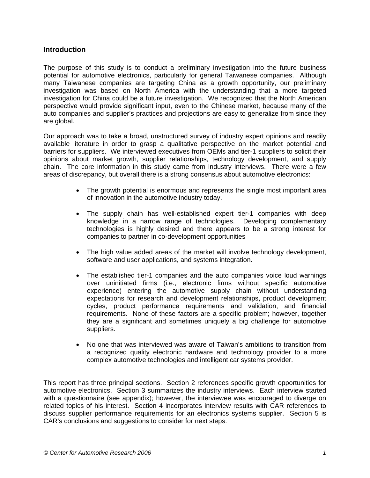# **Introduction**

The purpose of this study is to conduct a preliminary investigation into the future business potential for automotive electronics, particularly for general Taiwanese companies. Although many Taiwanese companies are targeting China as a growth opportunity, our preliminary investigation was based on North America with the understanding that a more targeted investigation for China could be a future investigation. We recognized that the North American perspective would provide significant input, even to the Chinese market, because many of the auto companies and supplier's practices and projections are easy to generalize from since they are global.

Our approach was to take a broad, unstructured survey of industry expert opinions and readily available literature in order to grasp a qualitative perspective on the market potential and barriers for suppliers. We interviewed executives from OEMs and tier-1 suppliers to solicit their opinions about market growth, supplier relationships, technology development, and supply chain. The core information in this study came from industry interviews. There were a few areas of discrepancy, but overall there is a strong consensus about automotive electronics:

- The growth potential is enormous and represents the single most important area of innovation in the automotive industry today.
- The supply chain has well-established expert tier-1 companies with deep knowledge in a narrow range of technologies. Developing complementary technologies is highly desired and there appears to be a strong interest for companies to partner in co-development opportunities
- The high value added areas of the market will involve technology development, software and user applications, and systems integration.
- The established tier-1 companies and the auto companies voice loud warnings over uninitiated firms (i.e., electronic firms without specific automotive experience) entering the automotive supply chain without understanding expectations for research and development relationships, product development cycles, product performance requirements and validation, and financial requirements. None of these factors are a specific problem; however, together they are a significant and sometimes uniquely a big challenge for automotive suppliers.
- No one that was interviewed was aware of Taiwan's ambitions to transition from a recognized quality electronic hardware and technology provider to a more complex automotive technologies and intelligent car systems provider.

This report has three principal sections. Section 2 references specific growth opportunities for automotive electronics. Section 3 summarizes the industry interviews. Each interview started with a questionnaire (see appendix); however, the interviewee was encouraged to diverge on related topics of his interest. Section 4 incorporates interview results with CAR references to discuss supplier performance requirements for an electronics systems supplier. Section 5 is CAR's conclusions and suggestions to consider for next steps.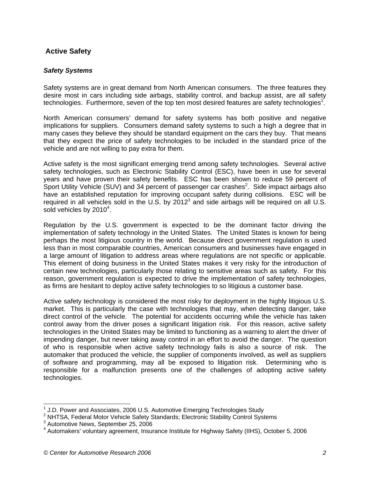# **Active Safety**

#### *Safety Systems*

Safety systems are in great demand from North American consumers. The three features they desire most in cars including side airbags, stability control, and backup assist, are all safety technologies. Furthermore, seven of the top ten most desired features are safety technologies<sup>1</sup>.

North American consumers' demand for safety systems has both positive and negative implications for suppliers. Consumers demand safety systems to such a high a degree that in many cases they believe they should be standard equipment on the cars they buy. That means that they expect the price of safety technologies to be included in the standard price of the vehicle and are not willing to pay extra for them.

Active safety is the most significant emerging trend among safety technologies. Several active safety technologies, such as Electronic Stability Control (ESC), have been in use for several years and have proven their safety benefits. ESC has been shown to reduce 59 percent of Sport Utility Vehicle (SUV) and 34 percent of passenger car crashes<sup>2</sup>. Side impact airbags also have an established reputation for improving occupant safety during collisions. ESC will be required in all vehicles sold in the U.S. by  $2012<sup>3</sup>$  and side airbags will be required on all U.S. sold vehicles by  $2010^4$ .

Regulation by the U.S. government is expected to be the dominant factor driving the implementation of safety technology in the United States. The United States is known for being perhaps the most litigious country in the world. Because direct government regulation is used less than in most comparable countries, American consumers and businesses have engaged in a large amount of litigation to address areas where regulations are not specific or applicable. This element of doing business in the United States makes it very risky for the introduction of certain new technologies, particularly those relating to sensitive areas such as safety. For this reason, government regulation is expected to drive the implementation of safety technologies, as firms are hesitant to deploy active safety technologies to so litigious a customer base.

Active safety technology is considered the most risky for deployment in the highly litigious U.S. market. This is particularly the case with technologies that may, when detecting danger, take direct control of the vehicle. The potential for accidents occurring while the vehicle has taken control away from the driver poses a significant litigation risk. For this reason, active safety technologies in the United States may be limited to functioning as a warning to alert the driver of impending danger, but never taking away control in an effort to avoid the danger. The question of who is responsible when active safety technology fails is also a source of risk. The automaker that produced the vehicle, the supplier of components involved, as well as suppliers of software and programming, may all be exposed to litigation risk. Determining who is responsible for a malfunction presents one of the challenges of adopting active safety technologies.

l

 $1$  J.D. Power and Associates, 2006 U.S. Automotive Emerging Technologies Study

<sup>&</sup>lt;sup>2</sup> NHTSA, Federal Motor Vehicle Safety Standards; Electronic Stability Control Systems

 $3$  Automotive News, September 25, 2006

<sup>&</sup>lt;sup>4</sup> Automakers' voluntary agreement, Insurance Institute for Highway Safety (IIHS), October 5, 2006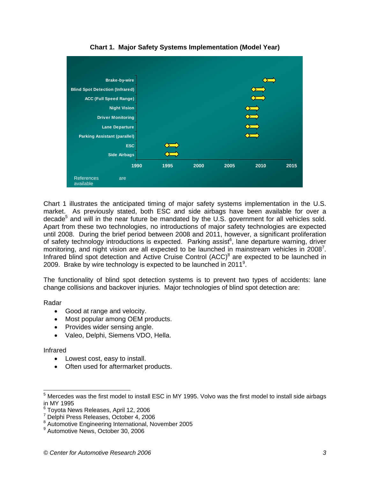

**Chart 1. Major Safety Systems Implementation (Model Year)** 

Chart 1 illustrates the anticipated timing of major safety systems implementation in the U.S. market. As previously stated, both ESC and side airbags have been available for over a decade<sup>5</sup> and will in the near future be mandated by the U.S. government for all vehicles sold. Apart from these two technologies, no introductions of major safety technologies are expected until 2008. During the brief period between 2008 and 2011, however, a significant proliferation of safety technology introductions is expected. Parking assist $6$ , lane departure warning, driver monitoring, and night vision are all expected to be launched in mainstream vehicles in 2008<sup>7</sup>. Infrared blind spot detection and Active Cruise Control  $(ACC)^8$  are expected to be launched in 2009. Brake by wire technology is expected to be launched in 2011<sup>9</sup>.

The functionality of blind spot detection systems is to prevent two types of accidents: lane change collisions and backover injuries. Major technologies of blind spot detection are:

Radar

- Good at range and velocity.
- Most popular among OEM products.
- Provides wider sensing angle.
- Valeo, Delphi, Siemens VDO, Hella.

Infrared

- Lowest cost, easy to install.
- Often used for aftermarket products.

<sup>&</sup>lt;u>5</u><br><sup>5</sup> Mercedes was the first model to install ESC in MY 1995. Volvo was the first model to install side airbags in MY 1995

<sup>6</sup> Toyota News Releases, April 12, 2006

<sup>7</sup> Delphi Press Releases, October 4, 2006

<sup>&</sup>lt;sup>8</sup> Automotive Engineering International, November 2005

<sup>9</sup> Automotive News, October 30, 2006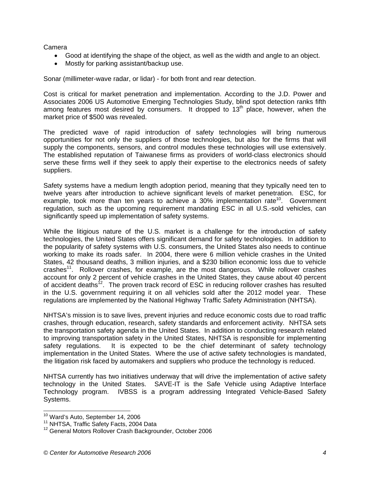Camera

- Good at identifying the shape of the object, as well as the width and angle to an object.
- Mostly for parking assistant/backup use.

Sonar (millimeter-wave radar, or lidar) - for both front and rear detection.

Cost is critical for market penetration and implementation. According to the J.D. Power and Associates 2006 US Automotive Emerging Technologies Study, blind spot detection ranks fifth among features most desired by consumers. It dropped to  $13<sup>th</sup>$  place, however, when the market price of \$500 was revealed.

The predicted wave of rapid introduction of safety technologies will bring numerous opportunities for not only the suppliers of those technologies, but also for the firms that will supply the components, sensors, and control modules these technologies will use extensively. The established reputation of Taiwanese firms as providers of world-class electronics should serve these firms well if they seek to apply their expertise to the electronics needs of safety suppliers.

Safety systems have a medium length adoption period, meaning that they typically need ten to twelve years after introduction to achieve significant levels of market penetration. ESC, for example, took more than ten years to achieve a  $30\%$  implementation rate<sup>10</sup>. Government regulation, such as the upcoming requirement mandating ESC in all U.S.-sold vehicles, can significantly speed up implementation of safety systems.

While the litigious nature of the U.S. market is a challenge for the introduction of safety technologies, the United States offers significant demand for safety technologies. In addition to the popularity of safety systems with U.S. consumers, the United States also needs to continue working to make its roads safer. In 2004, there were 6 million vehicle crashes in the United States, 42 thousand deaths, 3 million injuries, and a \$230 billion economic loss due to vehicle crashes11. Rollover crashes, for example, are the most dangerous. While rollover crashes account for only 2 percent of vehicle crashes in the United States, they cause about 40 percent of accident deaths<sup>12</sup>. The proven track record of ESC in reducing rollover crashes has resulted in the U.S. government requiring it on all vehicles sold after the 2012 model year. These regulations are implemented by the National Highway Traffic Safety Administration (NHTSA).

NHTSA's mission is to save lives, prevent injuries and reduce economic costs due to road traffic crashes, through education, research, safety standards and enforcement activity. NHTSA sets the transportation safety agenda in the United States. In addition to conducting research related to improving transportation safety in the United States, NHTSA is responsible for implementing safety regulations. It is expected to be the chief determinant of safety technology implementation in the United States. Where the use of active safety technologies is mandated, the litigation risk faced by automakers and suppliers who produce the technology is reduced.

NHTSA currently has two initiatives underway that will drive the implementation of active safety technology in the United States. SAVE-IT is the Safe Vehicle using Adaptive Interface Technology program. IVBSS is a program addressing Integrated Vehicle-Based Safety Systems.

<sup>&</sup>lt;sup>10</sup> Ward's Auto, September 14, 2006

<sup>&</sup>lt;sup>11</sup> NHTSA, Traffic Safety Facts, 2004 Data<br><sup>12</sup> General Motors Rollover Crash Backgrounder, October 2006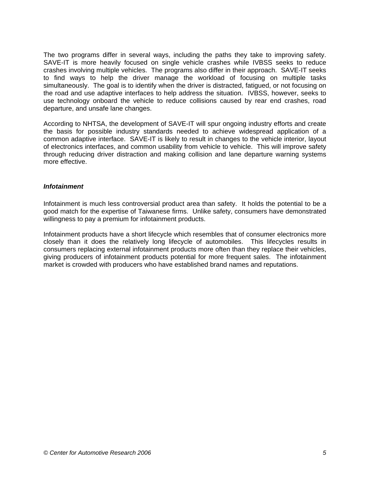The two programs differ in several ways, including the paths they take to improving safety. SAVE-IT is more heavily focused on single vehicle crashes while IVBSS seeks to reduce crashes involving multiple vehicles. The programs also differ in their approach. SAVE-IT seeks to find ways to help the driver manage the workload of focusing on multiple tasks simultaneously. The goal is to identify when the driver is distracted, fatigued, or not focusing on the road and use adaptive interfaces to help address the situation. IVBSS, however, seeks to use technology onboard the vehicle to reduce collisions caused by rear end crashes, road departure, and unsafe lane changes.

According to NHTSA, the development of SAVE-IT will spur ongoing industry efforts and create the basis for possible industry standards needed to achieve widespread application of a common adaptive interface. SAVE-IT is likely to result in changes to the vehicle interior, layout of electronics interfaces, and common usability from vehicle to vehicle. This will improve safety through reducing driver distraction and making collision and lane departure warning systems more effective.

#### *Infotainment*

Infotainment is much less controversial product area than safety. It holds the potential to be a good match for the expertise of Taiwanese firms. Unlike safety, consumers have demonstrated willingness to pay a premium for infotainment products.

Infotainment products have a short lifecycle which resembles that of consumer electronics more closely than it does the relatively long lifecycle of automobiles. This lifecycles results in consumers replacing external infotainment products more often than they replace their vehicles, giving producers of infotainment products potential for more frequent sales. The infotainment market is crowded with producers who have established brand names and reputations.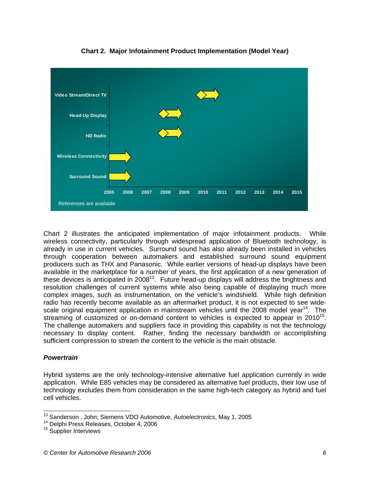

**Chart 2. Major Infotainment Product Implementation (Model Year)** 

Chart 2 illustrates the anticipated implementation of major infotainment products. While wireless connectivity, particularly through widespread application of Bluetooth technology, is already in use in current vehicles. Surround sound has also already been installed in vehicles through cooperation between automakers and established surround sound equipment producers such as THX and Panasonic. While earlier versions of head-up displays have been available in the marketplace for a number of years, the first application of a new generation of these devices is anticipated in 2008<sup>13</sup>. Future head-up displays will address the brightness and resolution challenges of current systems while also being capable of displaying much more complex images, such as instrumentation, on the vehicle's windshield. While high definition radio has recently become available as an aftermarket product, it is not expected to see widescale original equipment application in mainstream vehicles until the 2008 model year<sup>14</sup>. The streaming of customized or on-demand content to vehicles is expected to appear in  $2010^{15}$ . The challenge automakers and suppliers face in providing this capability is not the technology necessary to display content. Rather, finding the necessary bandwidth or accomplishing sufficient compression to stream the content to the vehicle is the main obstacle.

### *Powertrain*

l

Hybrid systems are the only technology-intensive alternative fuel application currently in wide application. While E85 vehicles may be considered as alternative fuel products, their low use of technology excludes them from consideration in the same high-tech category as hybrid and fuel cell vehicles.

<sup>&</sup>lt;sup>13</sup> Sanderson , John; Siemens VDO Automotive, *Autoelectronics*, May 1, 2005<br><sup>14</sup> Delphi Press Releases, October 4, 2006<br><sup>15</sup> Supplier Interviews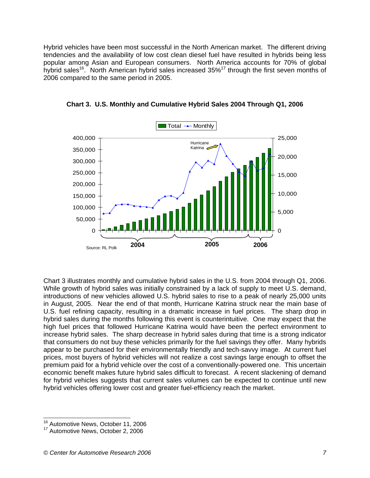Hybrid vehicles have been most successful in the North American market. The different driving tendencies and the availability of low cost clean diesel fuel have resulted in hybrids being less popular among Asian and European consumers. North America accounts for 70% of global hybrid sales<sup>16</sup>. North American hybrid sales increased  $35\%$ <sup>17</sup> through the first seven months of 2006 compared to the same period in 2005.



**Chart 3. U.S. Monthly and Cumulative Hybrid Sales 2004 Through Q1, 2006** 

Chart 3 illustrates monthly and cumulative hybrid sales in the U.S. from 2004 through Q1, 2006. While growth of hybrid sales was initially constrained by a lack of supply to meet U.S. demand, introductions of new vehicles allowed U.S. hybrid sales to rise to a peak of nearly 25,000 units in August, 2005. Near the end of that month, Hurricane Katrina struck near the main base of U.S. fuel refining capacity, resulting in a dramatic increase in fuel prices. The sharp drop in hybrid sales during the months following this event is counterintuitive. One may expect that the high fuel prices that followed Hurricane Katrina would have been the perfect environment to increase hybrid sales. The sharp decrease in hybrid sales during that time is a strong indicator that consumers do not buy these vehicles primarily for the fuel savings they offer. Many hybrids appear to be purchased for their environmentally friendly and tech-savvy image. At current fuel prices, most buyers of hybrid vehicles will not realize a cost savings large enough to offset the premium paid for a hybrid vehicle over the cost of a conventionally-powered one. This uncertain economic benefit makes future hybrid sales difficult to forecast. A recent slackening of demand for hybrid vehicles suggests that current sales volumes can be expected to continue until new hybrid vehicles offering lower cost and greater fuel-efficiency reach the market.

l

<sup>&</sup>lt;sup>16</sup> Automotive News, October 11, 2006

<sup>&</sup>lt;sup>17</sup> Automotive News, October 2, 2006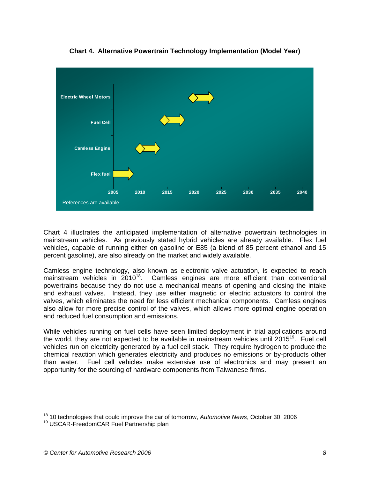

**Chart 4. Alternative Powertrain Technology Implementation (Model Year)** 

Chart 4 illustrates the anticipated implementation of alternative powertrain technologies in mainstream vehicles. As previously stated hybrid vehicles are already available. Flex fuel vehicles, capable of running either on gasoline or E85 (a blend of 85 percent ethanol and 15 percent gasoline), are also already on the market and widely available.

Camless engine technology, also known as electronic valve actuation, is expected to reach mainstream vehicles in  $2010^{18}$ . Camless engines are more efficient than conventional powertrains because they do not use a mechanical means of opening and closing the intake and exhaust valves. Instead, they use either magnetic or electric actuators to control the valves, which eliminates the need for less efficient mechanical components. Camless engines also allow for more precise control of the valves, which allows more optimal engine operation and reduced fuel consumption and emissions.

While vehicles running on fuel cells have seen limited deployment in trial applications around the world, they are not expected to be available in mainstream vehicles until 2015<sup>19</sup>. Fuel cell vehicles run on electricity generated by a fuel cell stack. They require hydrogen to produce the chemical reaction which generates electricity and produces no emissions or by-products other than water. Fuel cell vehicles make extensive use of electronics and may present an opportunity for the sourcing of hardware components from Taiwanese firms.

l 18 10 technologies that could improve the car of tomorrow, *Automotive News*, October 30, 2006

<sup>&</sup>lt;sup>19</sup> USCAR-FreedomCAR Fuel Partnership plan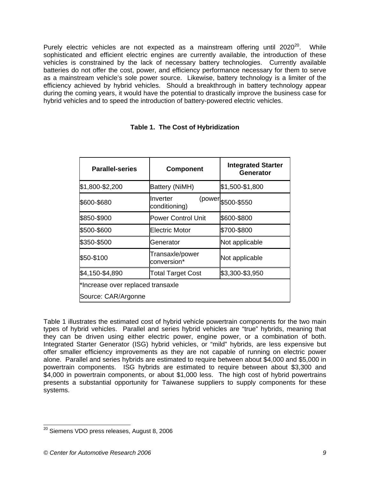Purely electric vehicles are not expected as a mainstream offering until  $2020^{20}$ . While sophisticated and efficient electric engines are currently available, the introduction of these vehicles is constrained by the lack of necessary battery technologies. Currently available batteries do not offer the cost, power, and efficiency performance necessary for them to serve as a mainstream vehicle's sole power source. Likewise, battery technology is a limiter of the efficiency achieved by hybrid vehicles. Should a breakthrough in battery technology appear during the coming years, it would have the potential to drastically improve the business case for hybrid vehicles and to speed the introduction of battery-powered electric vehicles.

| <b>Parallel-series</b>            | <b>Component</b>               | <b>Integrated Starter</b><br>Generator |
|-----------------------------------|--------------------------------|----------------------------------------|
| \$1,800-\$2,200                   | Battery (NiMH)                 | \$1,500-\$1,800                        |
| \$600-\$680                       | Inverter<br>conditioning)      | (power \$500-\$550                     |
| \$850-\$900                       | <b>Power Control Unit</b>      | \$600-\$800                            |
| \$500-\$600                       | <b>Electric Motor</b>          | \$700-\$800                            |
| \$350-\$500                       | Generator                      | Not applicable                         |
| \$50-\$100                        | Transaxle/power<br>conversion* | Not applicable                         |
| \$4,150-\$4,890                   | <b>Total Target Cost</b>       | \$3,300-\$3,950                        |
| *Increase over replaced transaxle |                                |                                        |
| Source: CAR/Argonne               |                                |                                        |

# **Table 1. The Cost of Hybridization**

Table 1 illustrates the estimated cost of hybrid vehicle powertrain components for the two main types of hybrid vehicles. Parallel and series hybrid vehicles are "true" hybrids, meaning that they can be driven using either electric power, engine power, or a combination of both. Integrated Starter Generator (ISG) hybrid vehicles, or "mild" hybrids, are less expensive but offer smaller efficiency improvements as they are not capable of running on electric power alone. Parallel and series hybrids are estimated to require between about \$4,000 and \$5,000 in powertrain components. ISG hybrids are estimated to require between about \$3,300 and \$4,000 in powertrain components, or about \$1,000 less. The high cost of hybrid powertrains presents a substantial opportunity for Taiwanese suppliers to supply components for these systems.

l  $^{20}$  Siemens VDO press releases, August 8, 2006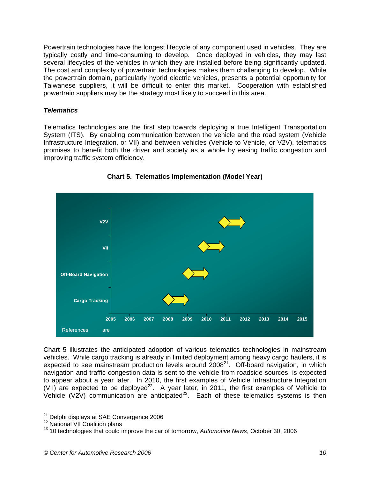Powertrain technologies have the longest lifecycle of any component used in vehicles. They are typically costly and time-consuming to develop. Once deployed in vehicles, they may last several lifecycles of the vehicles in which they are installed before being significantly updated. The cost and complexity of powertrain technologies makes them challenging to develop. While the powertrain domain, particularly hybrid electric vehicles, presents a potential opportunity for Taiwanese suppliers, it will be difficult to enter this market. Cooperation with established powertrain suppliers may be the strategy most likely to succeed in this area.

### *Telematics*

Telematics technologies are the first step towards deploying a true Intelligent Transportation System (ITS). By enabling communication between the vehicle and the road system (Vehicle Infrastructure Integration, or VII) and between vehicles (Vehicle to Vehicle, or V2V), telematics promises to benefit both the driver and society as a whole by easing traffic congestion and improving traffic system efficiency.



# **Chart 5. Telematics Implementation (Model Year)**

Chart 5 illustrates the anticipated adoption of various telematics technologies in mainstream vehicles. While cargo tracking is already in limited deployment among heavy cargo haulers, it is expected to see mainstream production levels around  $2008<sup>21</sup>$ . Off-board navigation, in which navigation and traffic congestion data is sent to the vehicle from roadside sources, is expected to appear about a year later. In 2010, the first examples of Vehicle Infrastructure Integration (VII) are expected to be deployed<sup>22</sup>. A year later, in 2011, the first examples of Vehicle to Vehicle (V2V) communication are anticipated<sup>23</sup>. Each of these telematics systems is then

<sup>&</sup>lt;sup>21</sup> Delphi displays at SAE Convergence 2006

<sup>&</sup>lt;sup>22</sup> National VII Coalition plans<br><sup>23</sup> 10 technologies that could improve the car of tomorrow, *Automotive News*, October 30, 2006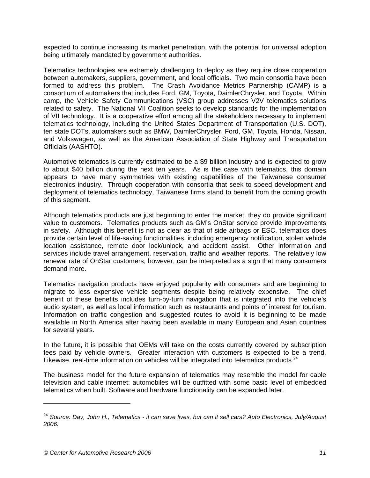expected to continue increasing its market penetration, with the potential for universal adoption being ultimately mandated by government authorities.

Telematics technologies are extremely challenging to deploy as they require close cooperation between automakers, suppliers, government, and local officials. Two main consortia have been formed to address this problem. The Crash Avoidance Metrics Partnership (CAMP) is a consortium of automakers that includes Ford, GM, Toyota, DaimlerChrysler, and Toyota. Within camp, the Vehicle Safety Communications (VSC) group addresses V2V telematics solutions related to safety. The National VII Coalition seeks to develop standards for the implementation of VII technology. It is a cooperative effort among all the stakeholders necessary to implement telematics technology, including the United States Department of Transportation (U.S. DOT), ten state DOTs, automakers such as BMW, DaimlerChrysler, Ford, GM, Toyota, Honda, Nissan, and Volkswagen, as well as the American Association of State Highway and Transportation Officials (AASHTO).

Automotive telematics is currently estimated to be a \$9 billion industry and is expected to grow to about \$40 billion during the next ten years. As is the case with telematics, this domain appears to have many symmetries with existing capabilities of the Taiwanese consumer electronics industry. Through cooperation with consortia that seek to speed development and deployment of telematics technology, Taiwanese firms stand to benefit from the coming growth of this segment.

Although telematics products are just beginning to enter the market, they do provide significant value to customers. Telematics products such as GM's OnStar service provide improvements in safety. Although this benefit is not as clear as that of side airbags or ESC, telematics does provide certain level of life-saving functionalities, including emergency notification, stolen vehicle location assistance, remote door lock/unlock, and accident assist. Other information and services include travel arrangement, reservation, traffic and weather reports. The relatively low renewal rate of OnStar customers, however, can be interpreted as a sign that many consumers demand more.

Telematics navigation products have enjoyed popularity with consumers and are beginning to migrate to less expensive vehicle segments despite being relatively expensive. The chief benefit of these benefits includes turn-by-turn navigation that is integrated into the vehicle's audio system, as well as local information such as restaurants and points of interest for tourism. Information on traffic congestion and suggested routes to avoid it is beginning to be made available in North America after having been available in many European and Asian countries for several years.

In the future, it is possible that OEMs will take on the costs currently covered by subscription fees paid by vehicle owners. Greater interaction with customers is expected to be a trend. Likewise, real-time information on vehicles will be integrated into telematics products.<sup>24</sup>

The business model for the future expansion of telematics may resemble the model for cable television and cable internet: automobiles will be outfitted with some basic level of embedded telematics when built. Software and hardware functionality can be expanded later.

l

<sup>24</sup> *Source: Day, John H., Telematics - it can save lives, but can it sell cars? Auto Electronics, July/August 2006.*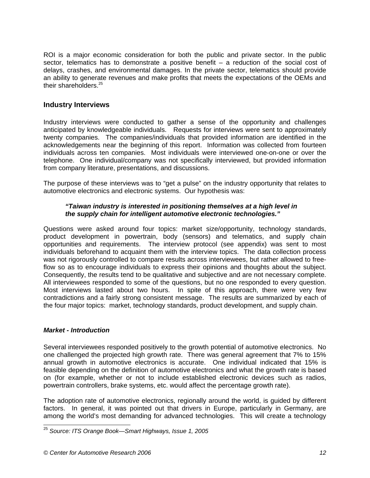ROI is a major economic consideration for both the public and private sector. In the public sector, telematics has to demonstrate a positive benefit – a reduction of the social cost of delays, crashes, and environmental damages. In the private sector, telematics should provide an ability to generate revenues and make profits that meets the expectations of the OEMs and their shareholders.<sup>25</sup>

# **Industry Interviews**

Industry interviews were conducted to gather a sense of the opportunity and challenges anticipated by knowledgeable individuals. Requests for interviews were sent to approximately twenty companies. The companies/individuals that provided information are identified in the acknowledgements near the beginning of this report. Information was collected from fourteen individuals across ten companies. Most individuals were interviewed one-on-one or over the telephone. One individual/company was not specifically interviewed, but provided information from company literature, presentations, and discussions.

The purpose of these interviews was to "get a pulse" on the industry opportunity that relates to automotive electronics and electronic systems. Our hypothesis was:

### *"Taiwan industry is interested in positioning themselves at a high level in the supply chain for intelligent automotive electronic technologies."*

Questions were asked around four topics: market size/opportunity, technology standards, product development in powertrain, body (sensors) and telematics, and supply chain opportunities and requirements. The interview protocol (see appendix) was sent to most individuals beforehand to acquaint them with the interview topics. The data collection process was not rigorously controlled to compare results across interviewees, but rather allowed to freeflow so as to encourage individuals to express their opinions and thoughts about the subject. Consequently, the results tend to be qualitative and subjective and are not necessary complete. All interviewees responded to some of the questions, but no one responded to every question. Most interviews lasted about two hours. In spite of this approach, there were very few contradictions and a fairly strong consistent message. The results are summarized by each of the four major topics: market, technology standards, product development, and supply chain.

### *Market - Introduction*

l

Several interviewees responded positively to the growth potential of automotive electronics. No one challenged the projected high growth rate. There was general agreement that 7% to 15% annual growth in automotive electronics is accurate. One individual indicated that 15% is feasible depending on the definition of automotive electronics and what the growth rate is based on (for example, whether or not to include established electronic devices such as radios, powertrain controllers, brake systems, etc. would affect the percentage growth rate).

The adoption rate of automotive electronics, regionally around the world, is guided by different factors. In general, it was pointed out that drivers in Europe, particularly in Germany, are among the world's most demanding for advanced technologies. This will create a technology

<sup>25</sup> *Source: ITS Orange Book—Smart Highways, Issue 1, 2005*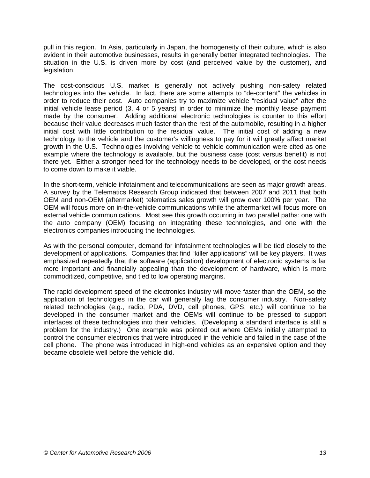pull in this region. In Asia, particularly in Japan, the homogeneity of their culture, which is also evident in their automotive businesses, results in generally better integrated technologies. The situation in the U.S. is driven more by cost (and perceived value by the customer), and legislation.

The cost-conscious U.S. market is generally not actively pushing non-safety related technologies into the vehicle. In fact, there are some attempts to "de-content" the vehicles in order to reduce their cost. Auto companies try to maximize vehicle "residual value" after the initial vehicle lease period (3, 4 or 5 years) in order to minimize the monthly lease payment made by the consumer. Adding additional electronic technologies is counter to this effort because their value decreases much faster than the rest of the automobile, resulting in a higher initial cost with little contribution to the residual value. The initial cost of adding a new technology to the vehicle and the customer's willingness to pay for it will greatly affect market growth in the U.S. Technologies involving vehicle to vehicle communication were cited as one example where the technology is available, but the business case (cost versus benefit) is not there yet. Either a stronger need for the technology needs to be developed, or the cost needs to come down to make it viable.

In the short-term, vehicle infotainment and telecommunications are seen as major growth areas. A survey by the Telematics Research Group indicated that between 2007 and 2011 that both OEM and non-OEM (aftermarket) telematics sales growth will grow over 100% per year. The OEM will focus more on in-the-vehicle communications while the aftermarket will focus more on external vehicle communications. Most see this growth occurring in two parallel paths: one with the auto company (OEM) focusing on integrating these technologies, and one with the electronics companies introducing the technologies.

As with the personal computer, demand for infotainment technologies will be tied closely to the development of applications. Companies that find "killer applications" will be key players. It was emphasized repeatedly that the software (application) development of electronic systems is far more important and financially appealing than the development of hardware, which is more commoditized, competitive, and tied to low operating margins.

The rapid development speed of the electronics industry will move faster than the OEM, so the application of technologies in the car will generally lag the consumer industry. Non-safety related technologies (e.g., radio, PDA, DVD, cell phones, GPS, etc.) will continue to be developed in the consumer market and the OEMs will continue to be pressed to support interfaces of these technologies into their vehicles. (Developing a standard interface is still a problem for the industry.) One example was pointed out where OEMs initially attempted to control the consumer electronics that were introduced in the vehicle and failed in the case of the cell phone. The phone was introduced in high-end vehicles as an expensive option and they became obsolete well before the vehicle did.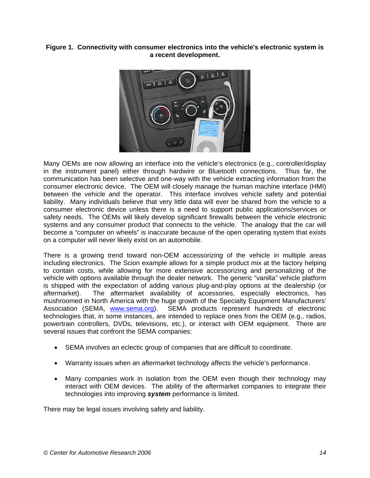### **Figure 1. Connectivity with consumer electronics into the vehicle's electronic system is a recent development.**



Many OEMs are now allowing an interface into the vehicle's electronics (e.g., controller/display in the instrument panel) either through hardwire or Bluetooth connections. Thus far, the communication has been selective and one-way with the vehicle extracting information from the consumer electronic device. The OEM will closely manage the human machine interface (HMI) between the vehicle and the operator. This interface involves vehicle safety and potential liability. Many individuals believe that very little data will ever be shared from the vehicle to a consumer electronic device unless there is a need to support public applications/services or safety needs. The OEMs will likely develop significant firewalls between the vehicle electronic systems and any consumer product that connects to the vehicle. The analogy that the car will become a "computer on wheels" is inaccurate because of the open operating system that exists on a computer will never likely exist on an automobile.

There is a growing trend toward non-OEM accessorizing of the vehicle in multiple areas including electronics. The Scion example allows for a simple product mix at the factory helping to contain costs, while allowing for more extensive accessorizing and personalizing of the vehicle with options available through the dealer network. The generic "vanilla" vehicle platform is shipped with the expectation of adding various plug-and-play options at the dealership (or aftermarket). The aftermarket availability of accessories, especially electronics, has mushroomed in North America with the huge growth of the Specialty Equipment Manufacturers' Association (SEMA, www.sema.org). SEMA products represent hundreds of electronic technologies that, in some instances, are intended to replace ones from the OEM (e.g., radios, powertrain controllers, DVDs, televisions, etc.), or interact with OEM equipment. There are several issues that confront the SEMA companies:

- SEMA involves an eclectic group of companies that are difficult to coordinate.
- Warranty issues when an aftermarket technology affects the vehicle's performance.
- Many companies work in isolation from the OEM even though their technology may interact with OEM devices. The ability of the aftermarket companies to integrate their technologies into improving *system* performance is limited.

There may be legal issues involving safety and liability.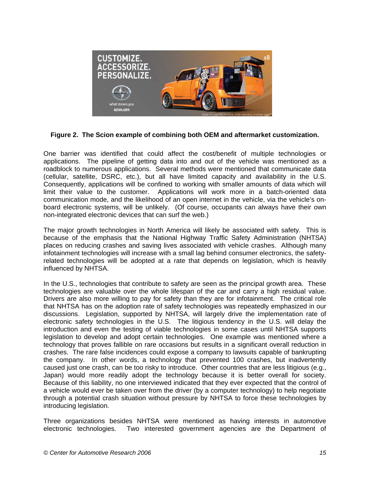

**Figure 2. The Scion example of combining both OEM and aftermarket customization.** 

One barrier was identified that could affect the cost/benefit of multiple technologies or applications. The pipeline of getting data into and out of the vehicle was mentioned as a roadblock to numerous applications. Several methods were mentioned that communicate data (cellular, satellite, DSRC, etc.), but all have limited capacity and availability in the U.S. Consequently, applications will be confined to working with smaller amounts of data which will limit their value to the customer. Applications will work more in a batch-oriented data communication mode, and the likelihood of an open internet in the vehicle, via the vehicle's onboard electronic systems, will be unlikely. (Of course, occupants can always have their own non-integrated electronic devices that can surf the web.)

The major growth technologies in North America will likely be associated with safety. This is because of the emphasis that the National Highway Traffic Safety Administration (NHTSA) places on reducing crashes and saving lives associated with vehicle crashes. Although many infotainment technologies will increase with a small lag behind consumer electronics, the safetyrelated technologies will be adopted at a rate that depends on legislation, which is heavily influenced by NHTSA.

In the U.S., technologies that contribute to safety are seen as the principal growth area. These technologies are valuable over the whole lifespan of the car and carry a high residual value. Drivers are also more willing to pay for safety than they are for infotainment. The critical role that NHTSA has on the adoption rate of safety technologies was repeatedly emphasized in our discussions. Legislation, supported by NHTSA, will largely drive the implementation rate of electronic safety technologies in the U.S. The litigious tendency in the U.S. will delay the introduction and even the testing of viable technologies in some cases until NHTSA supports legislation to develop and adopt certain technologies. One example was mentioned where a technology that proves fallible on rare occasions but results in a significant overall reduction in crashes. The rare false incidences could expose a company to lawsuits capable of bankrupting the company. In other words, a technology that prevented 100 crashes, but inadvertently caused just one crash, can be too risky to introduce. Other countries that are less litigious (e.g., Japan) would more readily adopt the technology because it is better overall for society. Because of this liability, no one interviewed indicated that they ever expected that the control of a vehicle would ever be taken over from the driver (by a computer technology) to help negotiate through a potential crash situation without pressure by NHTSA to force these technologies by introducing legislation.

Three organizations besides NHTSA were mentioned as having interests in automotive electronic technologies. Two interested government agencies are the Department of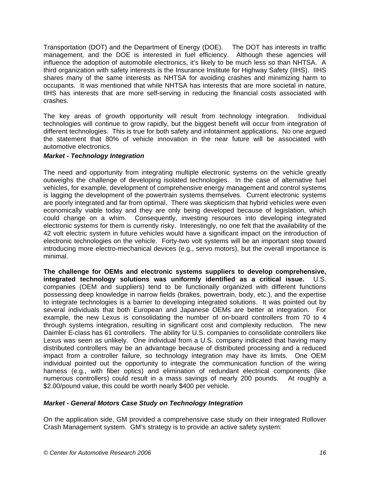Transportation (DOT) and the Department of Energy (DOE). The DOT has interests in traffic management, and the DOE is interested in fuel efficiency. Although these agencies will influence the adoption of automobile electronics, it's likely to be much less so than NHTSA. A third organization with safety interests is the Insurance Institute for Highway Safety (IIHS). IIHS shares many of the same interests as NHTSA for avoiding crashes and minimizing harm to occupants. It was mentioned that while NHTSA has interests that are more societal in nature, IIHS has interests that are more self-serving in reducing the financial costs associated with crashes.

The key areas of growth opportunity will result from technology integration. Individual technologies will continue to grow rapidly, but the biggest benefit will occur from integration of different technologies. This is true for both safety and infotainment applications. No one argued the statement that 80% of vehicle innovation in the near future will be associated with automotive electronics.

### *Market - Technology Integration*

The need and opportunity from integrating multiple electronic systems on the vehicle greatly outweighs the challenge of developing isolated technologies. In the case of alternative fuel vehicles, for example, development of comprehensive energy management and control systems is lagging the development of the powertrain systems themselves. Current electronic systems are poorly integrated and far from optimal. There was skepticism that hybrid vehicles were even economically viable today and they are only being developed because of legislation, which could change on a whim. Consequently, investing resources into developing integrated electronic systems for them is currently risky. Interestingly, no one felt that the availability of the 42 volt electric system in future vehicles would have a significant impact on the introduction of electronic technologies on the vehicle. Forty-two volt systems will be an important step toward introducing more electro-mechanical devices (e.g., servo motors), but the overall importance is minimal.

**The challenge for OEMs and electronic systems suppliers to develop comprehensive, integrated technology solutions was uniformly identified as a critical issue.** U.S. companies (OEM and suppliers) tend to be functionally organized with different functions possessing deep knowledge in narrow fields (brakes, powertrain, body, etc.), and the expertise to integrate technologies is a barrier to developing integrated solutions. It was pointed out by several individuals that both European and Japanese OEMs are better at integration. For example, the new Lexus is consolidating the number of on-board controllers from 70 to 4 through systems integration, resulting in significant cost and complexity reduction. The new Daimler E-class has 61 controllers. The ability for U.S. companies to consolidate controllers like Lexus was seen as unlikely. One individual from a U.S. company indicated that having many distributed controllers may be an advantage because of distributed processing and a reduced impact from a controller failure, so technology integration may have its limits. One OEM individual pointed out the opportunity to integrate the communication function of the wiring harness (e.g., with fiber optics) and elimination of redundant electrical components (like numerous controllers) could result in a mass savings of nearly 200 pounds. At roughly a \$2.00/pound value, this could be worth nearly \$400 per vehicle.

### *Market - General Motors Case Study on Technology Integration*

On the application side, GM provided a comprehensive case study on their integrated Rollover Crash Management system. GM's strategy is to provide an active safety system: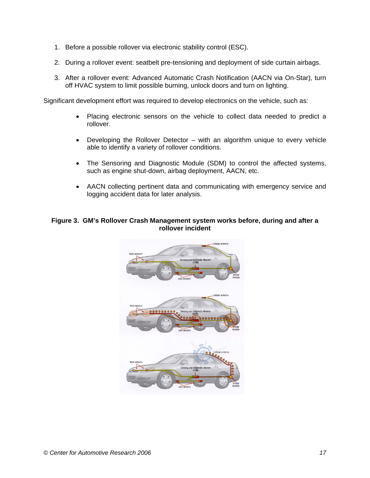- 1. Before a possible rollover via electronic stability control (ESC).
- 2. During a rollover event: seatbelt pre-tensioning and deployment of side curtain airbags.
- 3. After a rollover event: Advanced Automatic Crash Notification (AACN via On-Star), turn off HVAC system to limit possible burning, unlock doors and turn on lighting.

Significant development effort was required to develop electronics on the vehicle, such as:

- Placing electronic sensors on the vehicle to collect data needed to predict a rollover.
- Developing the Rollover Detector with an algorithm unique to every vehicle able to identify a variety of rollover conditions.
- The Sensoring and Diagnostic Module (SDM) to control the affected systems, such as engine shut-down, airbag deployment, AACN, etc.
- AACN collecting pertinent data and communicating with emergency service and logging accident data for later analysis.

#### **Figure 3. GM's Rollover Crash Management system works before, during and after a rollover incident**

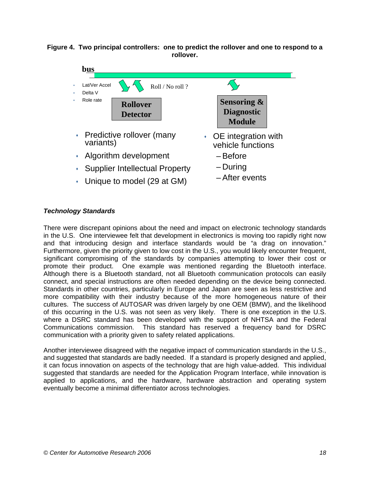



# *Technology Standards*

There were discrepant opinions about the need and impact on electronic technology standards in the U.S. One interviewee felt that development in electronics is moving too rapidly right now and that introducing design and interface standards would be "a drag on innovation." Furthermore, given the priority given to low cost in the U.S., you would likely encounter frequent, significant compromising of the standards by companies attempting to lower their cost or promote their product. One example was mentioned regarding the Bluetooth interface. Although there is a Bluetooth standard, not all Bluetooth communication protocols can easily connect, and special instructions are often needed depending on the device being connected. Standards in other countries, particularly in Europe and Japan are seen as less restrictive and more compatibility with their industry because of the more homogeneous nature of their cultures. The success of AUTOSAR was driven largely by one OEM (BMW), and the likelihood of this occurring in the U.S. was not seen as very likely. There is one exception in the U.S. where a DSRC standard has been developed with the support of NHTSA and the Federal Communications commission. This standard has reserved a frequency band for DSRC communication with a priority given to safety related applications.

Another interviewee disagreed with the negative impact of communication standards in the U.S., and suggested that standards are badly needed. If a standard is properly designed and applied, it can focus innovation on aspects of the technology that are high value-added. This individual suggested that standards are needed for the Application Program Interface, while innovation is applied to applications, and the hardware, hardware abstraction and operating system eventually become a minimal differentiator across technologies.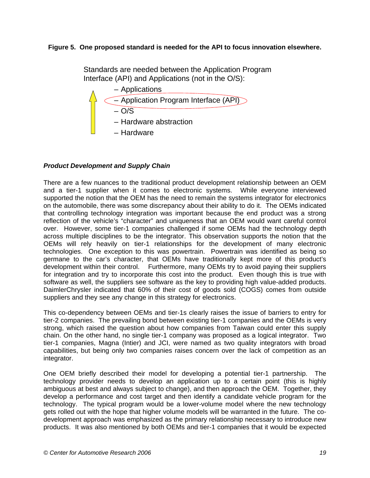### **Figure 5. One proposed standard is needed for the API to focus innovation elsewhere.**

Standards are needed between the Application Program Interface (API) and Applications (not in the O/S):



# *Product Development and Supply Chain*

There are a few nuances to the traditional product development relationship between an OEM and a tier-1 supplier when it comes to electronic systems. While everyone interviewed supported the notion that the OEM has the need to remain the systems integrator for electronics on the automobile, there was some discrepancy about their ability to do it. The OEMs indicated that controlling technology integration was important because the end product was a strong reflection of the vehicle's "character" and uniqueness that an OEM would want careful control over. However, some tier-1 companies challenged if some OEMs had the technology depth across multiple disciplines to be the integrator. This observation supports the notion that the OEMs will rely heavily on tier-1 relationships for the development of many electronic technologies. One exception to this was powertrain. Powertrain was identified as being so germane to the car's character, that OEMs have traditionally kept more of this product's development within their control. Furthermore, many OEMs try to avoid paying their suppliers for integration and try to incorporate this cost into the product. Even though this is true with software as well, the suppliers see software as the key to providing high value-added products. DaimlerChrysler indicated that 60% of their cost of goods sold (COGS) comes from outside suppliers and they see any change in this strategy for electronics.

This co-dependency between OEMs and tier-1s clearly raises the issue of barriers to entry for tier-2 companies. The prevailing bond between existing tier-1 companies and the OEMs is very strong, which raised the question about how companies from Taiwan could enter this supply chain. On the other hand, no single tier-1 company was proposed as a logical integrator. Two tier-1 companies, Magna (Intier) and JCI, were named as two quality integrators with broad capabilities, but being only two companies raises concern over the lack of competition as an integrator.

One OEM briefly described their model for developing a potential tier-1 partnership. The technology provider needs to develop an application up to a certain point (this is highly ambiguous at best and always subject to change), and then approach the OEM. Together, they develop a performance and cost target and then identify a candidate vehicle program for the technology. The typical program would be a lower-volume model where the new technology gets rolled out with the hope that higher volume models will be warranted in the future. The codevelopment approach was emphasized as the primary relationship necessary to introduce new products. It was also mentioned by both OEMs and tier-1 companies that it would be expected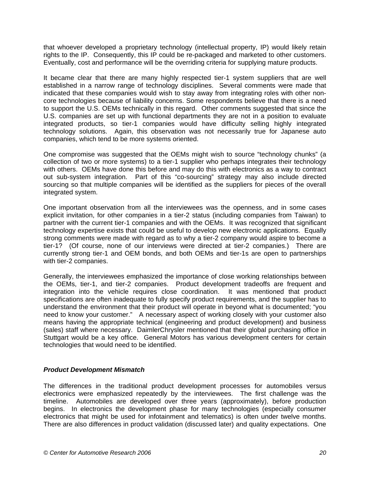that whoever developed a proprietary technology (intellectual property, IP) would likely retain rights to the IP. Consequently, this IP could be re-packaged and marketed to other customers. Eventually, cost and performance will be the overriding criteria for supplying mature products.

It became clear that there are many highly respected tier-1 system suppliers that are well established in a narrow range of technology disciplines. Several comments were made that indicated that these companies would wish to stay away from integrating roles with other noncore technologies because of liability concerns. Some respondents believe that there is a need to support the U.S. OEMs technically in this regard. Other comments suggested that since the U.S. companies are set up with functional departments they are not in a position to evaluate integrated products, so tier-1 companies would have difficulty selling highly integrated technology solutions. Again, this observation was not necessarily true for Japanese auto companies, which tend to be more systems oriented.

One compromise was suggested that the OEMs might wish to source "technology chunks" (a collection of two or more systems) to a tier-1 supplier who perhaps integrates their technology with others. OEMs have done this before and may do this with electronics as a way to contract out sub-system integration. Part of this "co-sourcing" strategy may also include directed sourcing so that multiple companies will be identified as the suppliers for pieces of the overall integrated system.

One important observation from all the interviewees was the openness, and in some cases explicit invitation, for other companies in a tier-2 status (including companies from Taiwan) to partner with the current tier-1 companies and with the OEMs. It was recognized that significant technology expertise exists that could be useful to develop new electronic applications. Equally strong comments were made with regard as to why a tier-2 company would aspire to become a tier-1? (Of course, none of our interviews were directed at tier-2 companies.) There are currently strong tier-1 and OEM bonds, and both OEMs and tier-1s are open to partnerships with tier-2 companies.

Generally, the interviewees emphasized the importance of close working relationships between the OEMs, tier-1, and tier-2 companies. Product development tradeoffs are frequent and integration into the vehicle requires close coordination. It was mentioned that product specifications are often inadequate to fully specify product requirements, and the supplier has to understand the environment that their product will operate in beyond what is documented; "you need to know your customer." A necessary aspect of working closely with your customer also means having the appropriate technical (engineering and product development) and business (sales) staff where necessary. DaimlerChrysler mentioned that their global purchasing office in Stuttgart would be a key office. General Motors has various development centers for certain technologies that would need to be identified.

### *Product Development Mismatch*

The differences in the traditional product development processes for automobiles versus electronics were emphasized repeatedly by the interviewees. The first challenge was the timeline. Automobiles are developed over three years (approximately), before production begins. In electronics the development phase for many technologies (especially consumer electronics that might be used for infotainment and telematics) is often under twelve months. There are also differences in product validation (discussed later) and quality expectations. One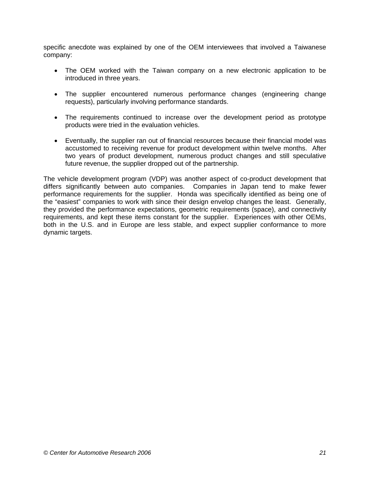specific anecdote was explained by one of the OEM interviewees that involved a Taiwanese company:

- The OEM worked with the Taiwan company on a new electronic application to be introduced in three years.
- The supplier encountered numerous performance changes (engineering change requests), particularly involving performance standards.
- The requirements continued to increase over the development period as prototype products were tried in the evaluation vehicles.
- Eventually, the supplier ran out of financial resources because their financial model was accustomed to receiving revenue for product development within twelve months. After two years of product development, numerous product changes and still speculative future revenue, the supplier dropped out of the partnership.

The vehicle development program (VDP) was another aspect of co-product development that differs significantly between auto companies. Companies in Japan tend to make fewer performance requirements for the supplier. Honda was specifically identified as being one of the "easiest" companies to work with since their design envelop changes the least. Generally, they provided the performance expectations, geometric requirements (space), and connectivity requirements, and kept these items constant for the supplier. Experiences with other OEMs, both in the U.S. and in Europe are less stable, and expect supplier conformance to more dynamic targets.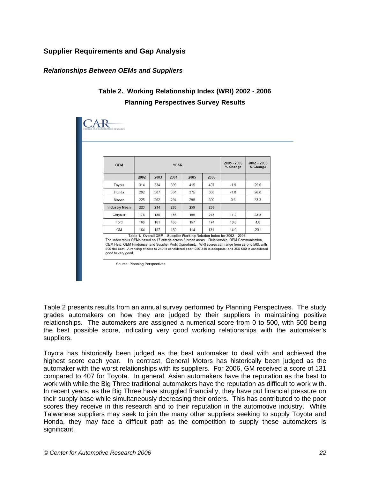# **Supplier Requirements and Gap Analysis**

### *Relationships Between OEMs and Suppliers*

# **Table 2. Working Relationship Index (WRI) 2002 - 2006 Planning Perspectives Survey Results**

| <b>OEM</b>           | <b>YEAR</b> |      |      |      | 2005 - 2006<br>% Change | $2002 - 2006$<br>% Change |         |
|----------------------|-------------|------|------|------|-------------------------|---------------------------|---------|
|                      | 2002        | 2003 | 2004 | 2005 | 2006                    |                           |         |
| Toyota               | 314         | 334  | 399  | 415  | 407                     | $-1.9$                    | 29.6    |
| Honda                | 292         | 307  | 384  | 375  | 368                     | $-1.8$                    | 26.0    |
| Nissan               | 225         | 262  | 294  | 298  | 300                     | 0.6                       | 33.3    |
| <b>Industry Mean</b> | 223         | 234  | 263  | 259  | 266                     |                           |         |
| Chrysler             | 176         | 180  | 186  | 196  | 218                     | 11.2                      | 23.8    |
| Ford                 | 166         | 161  | 163  | 157  | 174                     | 10.8                      | 4.8     |
| GM                   | 164         | 157  | 150  | 114  | 131                     | 14.9                      | $-20.1$ |

Table 2 presents results from an annual survey performed by Planning Perspectives. The study grades automakers on how they are judged by their suppliers in maintaining positive relationships. The automakers are assigned a numerical score from 0 to 500, with 500 being the best possible score, indicating very good working relationships with the automaker's suppliers.

Toyota has historically been judged as the best automaker to deal with and achieved the highest score each year. In contrast, General Motors has historically been judged as the automaker with the worst relationships with its suppliers. For 2006, GM received a score of 131 compared to 407 for Toyota. In general, Asian automakers have the reputation as the best to work with while the Big Three traditional automakers have the reputation as difficult to work with. In recent years, as the Big Three have struggled financially, they have put financial pressure on their supply base while simultaneously decreasing their orders. This has contributed to the poor scores they receive in this research and to their reputation in the automotive industry. While Taiwanese suppliers may seek to join the many other suppliers seeking to supply Toyota and Honda, they may face a difficult path as the competition to supply these automakers is significant.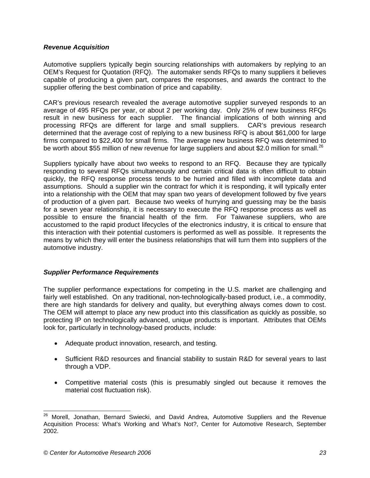#### *Revenue Acquisition*

Automotive suppliers typically begin sourcing relationships with automakers by replying to an OEM's Request for Quotation (RFQ). The automaker sends RFQs to many suppliers it believes capable of producing a given part, compares the responses, and awards the contract to the supplier offering the best combination of price and capability.

CAR's previous research revealed the average automotive supplier surveyed responds to an average of 495 RFQs per year, or about 2 per working day. Only 25% of new business RFQs result in new business for each supplier. The financial implications of both winning and processing RFQs are different for large and small suppliers. CAR's previous research determined that the average cost of replying to a new business RFQ is about \$61,000 for large firms compared to \$22,400 for small firms. The average new business RFQ was determined to be worth about \$55 million of new revenue for large suppliers and about \$2.0 million for small.<sup>26</sup>

Suppliers typically have about two weeks to respond to an RFQ. Because they are typically responding to several RFQs simultaneously and certain critical data is often difficult to obtain quickly, the RFQ response process tends to be hurried and filled with incomplete data and assumptions. Should a supplier win the contract for which it is responding, it will typically enter into a relationship with the OEM that may span two years of development followed by five years of production of a given part. Because two weeks of hurrying and guessing may be the basis for a seven year relationship, it is necessary to execute the RFQ response process as well as possible to ensure the financial health of the firm. For Taiwanese suppliers, who are accustomed to the rapid product lifecycles of the electronics industry, it is critical to ensure that this interaction with their potential customers is performed as well as possible. It represents the means by which they will enter the business relationships that will turn them into suppliers of the automotive industry.

### *Supplier Performance Requirements*

The supplier performance expectations for competing in the U.S. market are challenging and fairly well established. On any traditional, non-technologically-based product, i.e., a commodity, there are high standards for delivery and quality, but everything always comes down to cost. The OEM will attempt to place any new product into this classification as quickly as possible, so protecting IP on technologically advanced, unique products is important. Attributes that OEMs look for, particularly in technology-based products, include:

- Adequate product innovation, research, and testing.
- Sufficient R&D resources and financial stability to sustain R&D for several years to last through a VDP.
- Competitive material costs (this is presumably singled out because it removes the material cost fluctuation risk).

l <sup>26</sup> Morell, Jonathan, Bernard Swiecki, and David Andrea, Automotive Suppliers and the Revenue Acquisition Process: What's Working and What's Not?, Center for Automotive Research, September 2002.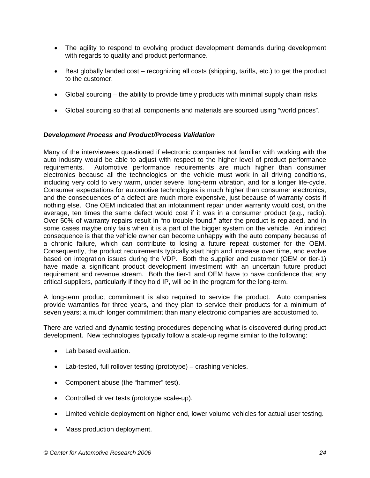- The agility to respond to evolving product development demands during development with regards to quality and product performance.
- Best globally landed cost recognizing all costs (shipping, tariffs, etc.) to get the product to the customer.
- Global sourcing the ability to provide timely products with minimal supply chain risks.
- Global sourcing so that all components and materials are sourced using "world prices".

#### *Development Process and Product/Process Validation*

Many of the interviewees questioned if electronic companies not familiar with working with the auto industry would be able to adjust with respect to the higher level of product performance requirements. Automotive performance requirements are much higher than consumer electronics because all the technologies on the vehicle must work in all driving conditions, including very cold to very warm, under severe, long-term vibration, and for a longer life-cycle. Consumer expectations for automotive technologies is much higher than consumer electronics, and the consequences of a defect are much more expensive, just because of warranty costs if nothing else. One OEM indicated that an infotainment repair under warranty would cost, on the average, ten times the same defect would cost if it was in a consumer product (e.g., radio). Over 50% of warranty repairs result in "no trouble found," after the product is replaced, and in some cases maybe only fails when it is a part of the bigger system on the vehicle. An indirect consequence is that the vehicle owner can become unhappy with the auto company because of a chronic failure, which can contribute to losing a future repeat customer for the OEM. Consequently, the product requirements typically start high and increase over time, and evolve based on integration issues during the VDP. Both the supplier and customer (OEM or tier-1) have made a significant product development investment with an uncertain future product requirement and revenue stream. Both the tier-1 and OEM have to have confidence that any critical suppliers, particularly if they hold IP, will be in the program for the long-term.

A long-term product commitment is also required to service the product. Auto companies provide warranties for three years, and they plan to service their products for a minimum of seven years; a much longer commitment than many electronic companies are accustomed to.

There are varied and dynamic testing procedures depending what is discovered during product development. New technologies typically follow a scale-up regime similar to the following:

- Lab based evaluation.
- Lab-tested, full rollover testing (prototype) crashing vehicles.
- Component abuse (the "hammer" test).
- Controlled driver tests (prototype scale-up).
- Limited vehicle deployment on higher end, lower volume vehicles for actual user testing.
- Mass production deployment.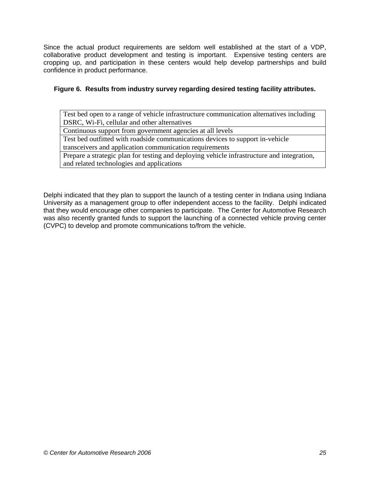Since the actual product requirements are seldom well established at the start of a VDP, collaborative product development and testing is important. Expensive testing centers are cropping up, and participation in these centers would help develop partnerships and build confidence in product performance.

## **Figure 6. Results from industry survey regarding desired testing facility attributes.**

Test bed open to a range of vehicle infrastructure communication alternatives including DSRC, Wi-Fi, cellular and other alternatives

Continuous support from government agencies at all levels

Test bed outfitted with roadside communications devices to support in-vehicle

transceivers and application communication requirements

Prepare a strategic plan for testing and deploying vehicle infrastructure and integration, and related technologies and applications

Delphi indicated that they plan to support the launch of a testing center in Indiana using Indiana University as a management group to offer independent access to the facility. Delphi indicated that they would encourage other companies to participate. The Center for Automotive Research was also recently granted funds to support the launching of a connected vehicle proving center (CVPC) to develop and promote communications to/from the vehicle.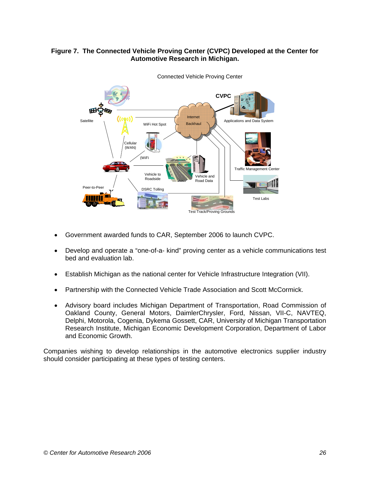# **Figure 7. The Connected Vehicle Proving Center (CVPC) Developed at the Center for Automotive Research in Michigan.**



Connected Vehicle Proving Center

- Government awarded funds to CAR, September 2006 to launch CVPC.
- Develop and operate a "one-of-a- kind" proving center as a vehicle communications test bed and evaluation lab.
- Establish Michigan as the national center for Vehicle Infrastructure Integration (VII).
- Partnership with the Connected Vehicle Trade Association and Scott McCormick.
- Advisory board includes Michigan Department of Transportation, Road Commission of Oakland County, General Motors, DaimlerChrysler, Ford, Nissan, VII-C, NAVTEQ, Delphi, Motorola, Cogenia, Dykema Gossett, CAR, University of Michigan Transportation Research Institute, Michigan Economic Development Corporation, Department of Labor and Economic Growth.

Companies wishing to develop relationships in the automotive electronics supplier industry should consider participating at these types of testing centers.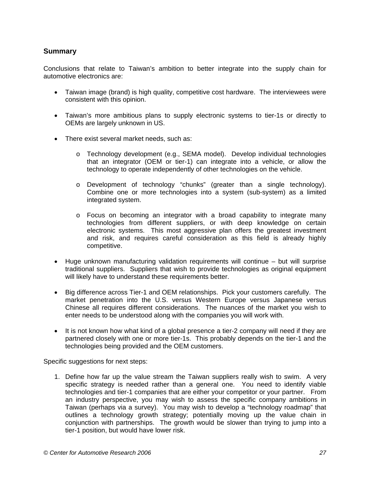# **Summary**

Conclusions that relate to Taiwan's ambition to better integrate into the supply chain for automotive electronics are:

- Taiwan image (brand) is high quality, competitive cost hardware. The interviewees were consistent with this opinion.
- Taiwan's more ambitious plans to supply electronic systems to tier-1s or directly to OEMs are largely unknown in US.
- There exist several market needs, such as:
	- o Technology development (e.g., SEMA model). Develop individual technologies that an integrator (OEM or tier-1) can integrate into a vehicle, or allow the technology to operate independently of other technologies on the vehicle.
	- o Development of technology "chunks" (greater than a single technology). Combine one or more technologies into a system (sub-system) as a limited integrated system.
	- $\circ$  Focus on becoming an integrator with a broad capability to integrate many technologies from different suppliers, or with deep knowledge on certain electronic systems. This most aggressive plan offers the greatest investment and risk, and requires careful consideration as this field is already highly competitive.
- Huge unknown manufacturing validation requirements will continue but will surprise traditional suppliers. Suppliers that wish to provide technologies as original equipment will likely have to understand these requirements better.
- Big difference across Tier-1 and OEM relationships. Pick your customers carefully. The market penetration into the U.S. versus Western Europe versus Japanese versus Chinese all requires different considerations. The nuances of the market you wish to enter needs to be understood along with the companies you will work with.
- It is not known how what kind of a global presence a tier-2 company will need if they are partnered closely with one or more tier-1s. This probably depends on the tier-1 and the technologies being provided and the OEM customers.

Specific suggestions for next steps:

1. Define how far up the value stream the Taiwan suppliers really wish to swim. A very specific strategy is needed rather than a general one. You need to identify viable technologies and tier-1 companies that are either your competitor or your partner. From an industry perspective, you may wish to assess the specific company ambitions in Taiwan (perhaps via a survey). You may wish to develop a "technology roadmap" that outlines a technology growth strategy; potentially moving up the value chain in conjunction with partnerships. The growth would be slower than trying to jump into a tier-1 position, but would have lower risk.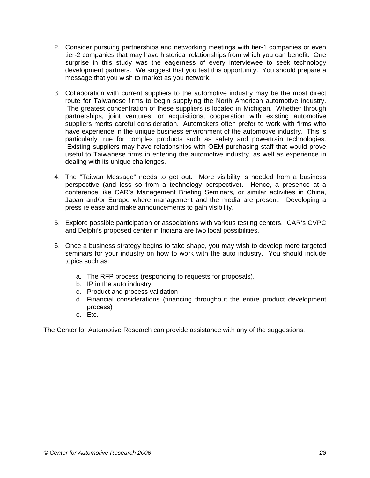- 2. Consider pursuing partnerships and networking meetings with tier-1 companies or even tier-2 companies that may have historical relationships from which you can benefit. One surprise in this study was the eagerness of every interviewee to seek technology development partners. We suggest that you test this opportunity. You should prepare a message that you wish to market as you network.
- 3. Collaboration with current suppliers to the automotive industry may be the most direct route for Taiwanese firms to begin supplying the North American automotive industry. The greatest concentration of these suppliers is located in Michigan. Whether through partnerships, joint ventures, or acquisitions, cooperation with existing automotive suppliers merits careful consideration. Automakers often prefer to work with firms who have experience in the unique business environment of the automotive industry. This is particularly true for complex products such as safety and powertrain technologies. Existing suppliers may have relationships with OEM purchasing staff that would prove useful to Taiwanese firms in entering the automotive industry, as well as experience in dealing with its unique challenges.
- 4. The "Taiwan Message" needs to get out. More visibility is needed from a business perspective (and less so from a technology perspective). Hence, a presence at a conference like CAR's Management Briefing Seminars, or similar activities in China, Japan and/or Europe where management and the media are present. Developing a press release and make announcements to gain visibility.
- 5. Explore possible participation or associations with various testing centers. CAR's CVPC and Delphi's proposed center in Indiana are two local possibilities.
- 6. Once a business strategy begins to take shape, you may wish to develop more targeted seminars for your industry on how to work with the auto industry. You should include topics such as:
	- a. The RFP process (responding to requests for proposals).
	- b. IP in the auto industry
	- c. Product and process validation
	- d. Financial considerations (financing throughout the entire product development process)
	- e. Etc.

The Center for Automotive Research can provide assistance with any of the suggestions.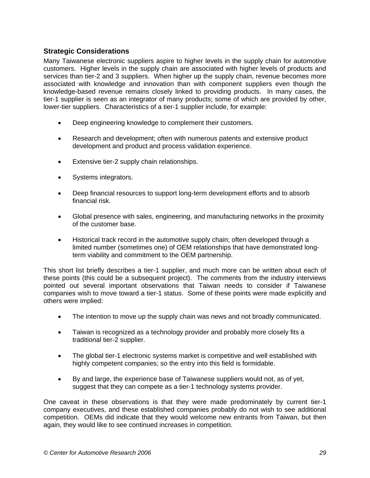# **Strategic Considerations**

Many Taiwanese electronic suppliers aspire to higher levels in the supply chain for automotive customers. Higher levels in the supply chain are associated with higher levels of products and services than tier-2 and 3 suppliers. When higher up the supply chain, revenue becomes more associated with knowledge and innovation than with component suppliers even though the knowledge-based revenue remains closely linked to providing products. In many cases, the tier-1 supplier is seen as an integrator of many products; some of which are provided by other, lower-tier suppliers. Characteristics of a tier-1 supplier include, for example:

- Deep engineering knowledge to complement their customers.
- Research and development; often with numerous patents and extensive product development and product and process validation experience.
- Extensive tier-2 supply chain relationships.
- Systems integrators.
- Deep financial resources to support long-term development efforts and to absorb financial risk.
- Global presence with sales, engineering, and manufacturing networks in the proximity of the customer base.
- Historical track record in the automotive supply chain; often developed through a limited number (sometimes one) of OEM relationships that have demonstrated longterm viability and commitment to the OEM partnership.

This short list briefly describes a tier-1 supplier, and much more can be written about each of these points (this could be a subsequent project). The comments from the industry interviews pointed out several important observations that Taiwan needs to consider if Taiwanese companies wish to move toward a tier-1 status. Some of these points were made explicitly and others were implied:

- The intention to move up the supply chain was news and not broadly communicated.
- Taiwan is recognized as a technology provider and probably more closely fits a traditional tier-2 supplier.
- The global tier-1 electronic systems market is competitive and well established with highly competent companies; so the entry into this field is formidable.
- By and large, the experience base of Taiwanese suppliers would not, as of yet, suggest that they can compete as a tier-1 technology systems provider.

One caveat in these observations is that they were made predominately by current tier-1 company executives, and these established companies probably do not wish to see additional competition. OEMs did indicate that they would welcome new entrants from Taiwan, but then again, they would like to see continued increases in competition.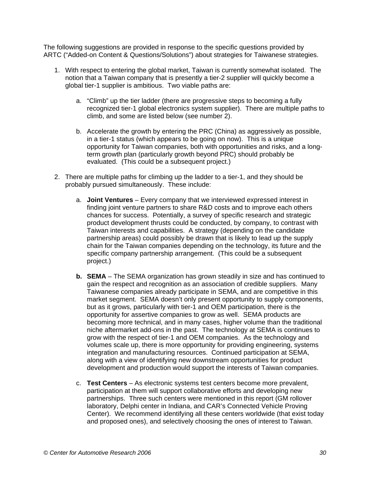The following suggestions are provided in response to the specific questions provided by ARTC ("Added-on Content & Questions/Solutions") about strategies for Taiwanese strategies.

- 1. With respect to entering the global market, Taiwan is currently somewhat isolated. The notion that a Taiwan company that is presently a tier-2 supplier will quickly become a global tier-1 supplier is ambitious. Two viable paths are:
	- a. "Climb" up the tier ladder (there are progressive steps to becoming a fully recognized tier-1 global electronics system supplier). There are multiple paths to climb, and some are listed below (see number 2).
	- b. Accelerate the growth by entering the PRC (China) as aggressively as possible, in a tier-1 status (which appears to be going on now). This is a unique opportunity for Taiwan companies, both with opportunities and risks, and a longterm growth plan (particularly growth beyond PRC) should probably be evaluated. (This could be a subsequent project.)
- 2. There are multiple paths for climbing up the ladder to a tier-1, and they should be probably pursued simultaneously. These include:
	- a. **Joint Ventures** Every company that we interviewed expressed interest in finding joint venture partners to share R&D costs and to improve each others chances for success. Potentially, a survey of specific research and strategic product development thrusts could be conducted, by company, to contrast with Taiwan interests and capabilities. A strategy (depending on the candidate partnership areas) could possibly be drawn that is likely to lead up the supply chain for the Taiwan companies depending on the technology, its future and the specific company partnership arrangement. (This could be a subsequent project.)
	- **b. SEMA**  The SEMA organization has grown steadily in size and has continued to gain the respect and recognition as an association of credible suppliers. Many Taiwanese companies already participate in SEMA, and are competitive in this market segment. SEMA doesn't only present opportunity to supply components, but as it grows, particularly with tier-1 and OEM participation, there is the opportunity for assertive companies to grow as well. SEMA products are becoming more technical, and in many cases, higher volume than the traditional niche aftermarket add-ons in the past. The technology at SEMA is continues to grow with the respect of tier-1 and OEM companies. As the technology and volumes scale up, there is more opportunity for providing engineering, systems integration and manufacturing resources. Continued participation at SEMA, along with a view of identifying new downstream opportunities for product development and production would support the interests of Taiwan companies.
	- c. **Test Centers** As electronic systems test centers become more prevalent, participation at them will support collaborative efforts and developing new partnerships. Three such centers were mentioned in this report (GM rollover laboratory, Delphi center in Indiana, and CAR's Connected Vehicle Proving Center). We recommend identifying all these centers worldwide (that exist today and proposed ones), and selectively choosing the ones of interest to Taiwan.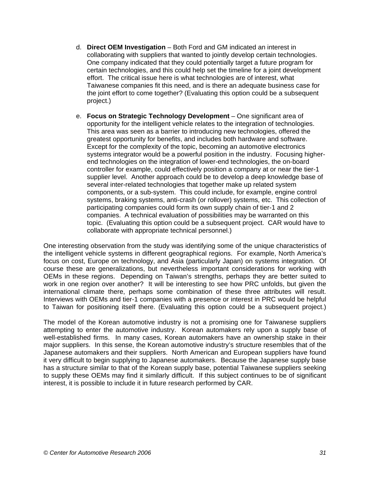- d. **Direct OEM Investigation** Both Ford and GM indicated an interest in collaborating with suppliers that wanted to jointly develop certain technologies. One company indicated that they could potentially target a future program for certain technologies, and this could help set the timeline for a joint development effort. The critical issue here is what technologies are of interest, what Taiwanese companies fit this need, and is there an adequate business case for the joint effort to come together? (Evaluating this option could be a subsequent project.)
- e. **Focus on Strategic Technology Development** One significant area of opportunity for the intelligent vehicle relates to the integration of technologies. This area was seen as a barrier to introducing new technologies, offered the greatest opportunity for benefits, and includes both hardware and software. Except for the complexity of the topic, becoming an automotive electronics systems integrator would be a powerful position in the industry. Focusing higherend technologies on the integration of lower-end technologies, the on-board controller for example, could effectively position a company at or near the tier-1 supplier level. Another approach could be to develop a deep knowledge base of several inter-related technologies that together make up related system components, or a sub-system. This could include, for example, engine control systems, braking systems, anti-crash (or rollover) systems, etc. This collection of participating companies could form its own supply chain of tier-1 and 2 companies. A technical evaluation of possibilities may be warranted on this topic. (Evaluating this option could be a subsequent project. CAR would have to collaborate with appropriate technical personnel.)

One interesting observation from the study was identifying some of the unique characteristics of the intelligent vehicle systems in different geographical regions. For example, North America's focus on cost, Europe on technology, and Asia (particularly Japan) on systems integration. Of course these are generalizations, but nevertheless important considerations for working with OEMs in these regions. Depending on Taiwan's strengths, perhaps they are better suited to work in one region over another? It will be interesting to see how PRC unfolds, but given the international climate there, perhaps some combination of these three attributes will result. Interviews with OEMs and tier-1 companies with a presence or interest in PRC would be helpful to Taiwan for positioning itself there. (Evaluating this option could be a subsequent project.)

The model of the Korean automotive industry is not a promising one for Taiwanese suppliers attempting to enter the automotive industry. Korean automakers rely upon a supply base of well-established firms. In many cases, Korean automakers have an ownership stake in their major suppliers. In this sense, the Korean automotive industry's structure resembles that of the Japanese automakers and their suppliers. North American and European suppliers have found it very difficult to begin supplying to Japanese automakers. Because the Japanese supply base has a structure similar to that of the Korean supply base, potential Taiwanese suppliers seeking to supply these OEMs may find it similarly difficult. If this subject continues to be of significant interest, it is possible to include it in future research performed by CAR.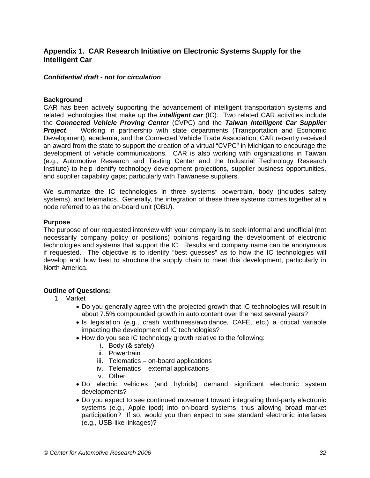# **Appendix 1. CAR Research Initiative on Electronic Systems Supply for the Intelligent Car**

#### *Confidential draft - not for circulation*

#### **Background**

CAR has been actively supporting the advancement of intelligent transportation systems and related technologies that make up the *intelligent car* (IC). Two related CAR activities include the *Connected Vehicle Proving Center* (CVPC) and the *Taiwan Intelligent Car Supplier Project*. Working in partnership with state departments (Transportation and Economic Development), academia, and the Connected Vehicle Trade Association, CAR recently received an award from the state to support the creation of a virtual "CVPC" in Michigan to encourage the development of vehicle communications. CAR is also working with organizations in Taiwan (e.g., Automotive Research and Testing Center and the Industrial Technology Research Institute) to help identify technology development projections, supplier business opportunities, and supplier capability gaps; particularly with Taiwanese suppliers.

We summarize the IC technologies in three systems: powertrain, body (includes safety systems), and telematics. Generally, the integration of these three systems comes together at a node referred to as the on-board unit (OBU).

#### **Purpose**

The purpose of our requested interview with your company is to seek informal and unofficial (not necessarily company policy or positions) opinions regarding the development of electronic technologies and systems that support the IC. Results and company name can be anonymous if requested. The objective is to identify "best guesses" as to how the IC technologies will develop and how best to structure the supply chain to meet this development, particularly in North America.

#### **Outline of Questions:**

- 1. Market
	- Do you generally agree with the projected growth that IC technologies will result in about 7.5% compounded growth in auto content over the next several years?
	- Is legislation (e.g., crash worthiness/avoidance, CAFÉ, etc.) a critical variable impacting the development of IC technologies?
	- How do you see IC technology growth relative to the following:
		- i. Body (& safety)
		- ii. Powertrain
		- iii. Telematics on-board applications
		- iv. Telematics external applications
		- v. Other
	- Do electric vehicles (and hybrids) demand significant electronic system developments?
	- Do you expect to see continued movement toward integrating third-party electronic systems (e.g., Apple ipod) into on-board systems, thus allowing broad market participation? If so, would you then expect to see standard electronic interfaces (e.g., USB-like linkages)?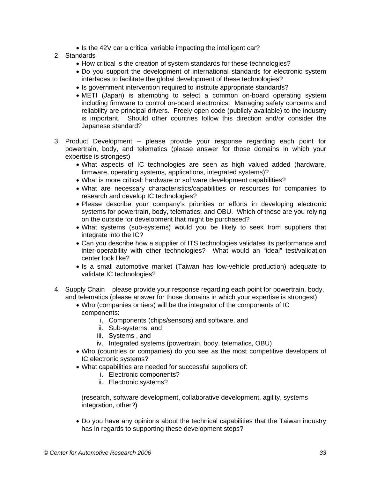- Is the 42V car a critical variable impacting the intelligent car?
- 2. Standards
	- How critical is the creation of system standards for these technologies?
	- Do you support the development of international standards for electronic system interfaces to facilitate the global development of these technologies?
	- Is government intervention required to institute appropriate standards?
	- METI (Japan) is attempting to select a common on-board operating system including firmware to control on-board electronics. Managing safety concerns and reliability are principal drivers. Freely open code (publicly available) to the industry is important. Should other countries follow this direction and/or consider the Japanese standard?
- 3. Product Development please provide your response regarding each point for powertrain, body, and telematics (please answer for those domains in which your expertise is strongest)
	- What aspects of IC technologies are seen as high valued added (hardware, firmware, operating systems, applications, integrated systems)?
	- What is more critical: hardware or software development capabilities?
	- What are necessary characteristics/capabilities or resources for companies to research and develop IC technologies?
	- Please describe your company's priorities or efforts in developing electronic systems for powertrain, body, telematics, and OBU. Which of these are you relying on the outside for development that might be purchased?
	- What systems (sub-systems) would you be likely to seek from suppliers that integrate into the IC?
	- Can you describe how a supplier of ITS technologies validates its performance and inter-operability with other technologies? What would an "ideal" test/validation center look like?
	- Is a small automotive market (Taiwan has low-vehicle production) adequate to validate IC technologies?
- 4. Supply Chain please provide your response regarding each point for powertrain, body, and telematics (please answer for those domains in which your expertise is strongest)
	- Who (companies or tiers) will be the integrator of the components of IC components:
		- i. Components (chips/sensors) and software, and
		- ii. Sub-systems, and
		- iii. Systems , and
		- iv. Integrated systems (powertrain, body, telematics, OBU)
	- Who (countries or companies) do you see as the most competitive developers of IC electronic systems?
	- What capabilities are needed for successful suppliers of:
		- i. Electronic components?
		- ii. Electronic systems?

(research, software development, collaborative development, agility, systems integration, other?)

• Do you have any opinions about the technical capabilities that the Taiwan industry has in regards to supporting these development steps?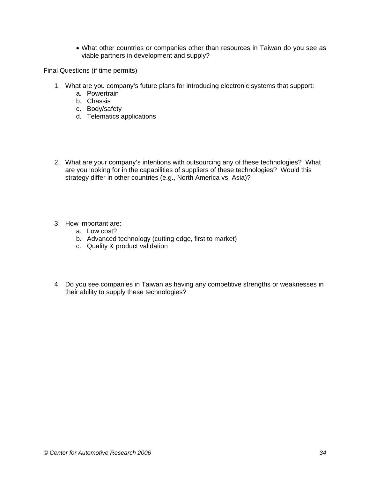• What other countries or companies other than resources in Taiwan do you see as viable partners in development and supply?

Final Questions (if time permits)

- 1. What are you company's future plans for introducing electronic systems that support:
	- a. Powertrain
	- b. Chassis
	- c. Body/safety
	- d. Telematics applications
- 2. What are your company's intentions with outsourcing any of these technologies? What are you looking for in the capabilities of suppliers of these technologies? Would this strategy differ in other countries (e.g., North America vs. Asia)?
- 3. How important are:
	- a. Low cost?
	- b. Advanced technology (cutting edge, first to market)
	- c. Quality & product validation
- 4. Do you see companies in Taiwan as having any competitive strengths or weaknesses in their ability to supply these technologies?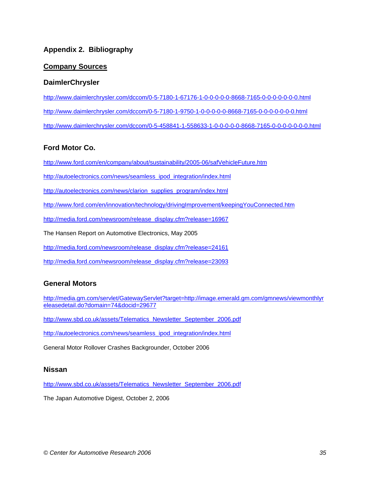# **Appendix 2. Bibliography**

# **Company Sources**

# **DaimlerChrysler**

http://www.daimlerchrysler.com/dccom/0-5-7180-1-67176-1-0-0-0-0-0-8668-7165-0-0-0-0-0-0-0.html http://www.daimlerchrysler.com/dccom/0-5-7180-1-9750-1-0-0-0-0-0-8668-7165-0-0-0-0-0-0-0.html http://www.daimlerchrysler.com/dccom/0-5-458841-1-558633-1-0-0-0-0-0-8668-7165-0-0-0-0-0-0-0.html

# **Ford Motor Co.**

http://www.ford.com/en/company/about/sustainability/2005-06/safVehicleFuture.htm

http://autoelectronics.com/news/seamless\_ipod\_integration/index.html

http://autoelectronics.com/news/clarion\_supplies\_program/index.html

http://www.ford.com/en/innovation/technology/drivingImprovement/keepingYouConnected.htm

http://media.ford.com/newsroom/release\_display.cfm?release=16967

The Hansen Report on Automotive Electronics, May 2005

http://media.ford.com/newsroom/release\_display.cfm?release=24161

http://media.ford.com/newsroom/release\_display.cfm?release=23093

# **General Motors**

http://media.gm.com/servlet/GatewayServlet?target=http://image.emerald.gm.com/gmnews/viewmonthlyr eleasedetail.do?domain=74&docid=29677

http://www.sbd.co.uk/assets/Telematics\_Newsletter\_September\_2006.pdf

http://autoelectronics.com/news/seamless\_ipod\_integration/index.html

General Motor Rollover Crashes Backgrounder, October 2006

### **Nissan**

http://www.sbd.co.uk/assets/Telematics\_Newsletter\_September\_2006.pdf

The Japan Automotive Digest, October 2, 2006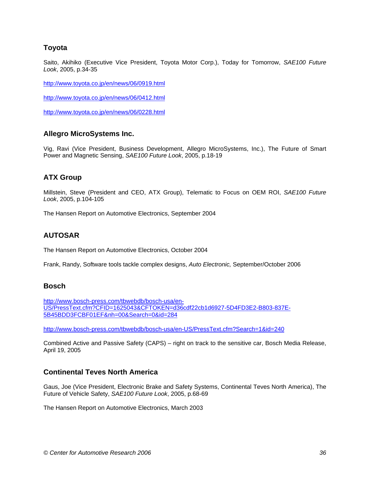# **Toyota**

Saito, Akihiko (Executive Vice President, Toyota Motor Corp.), Today for Tomorrow, *SAE100 Future Look*, 2005, p.34-35

http://www.toyota.co.jp/en/news/06/0919.html

http://www.toyota.co.jp/en/news/06/0412.html

http://www.toyota.co.jp/en/news/06/0228.html

### **Allegro MicroSystems Inc.**

Vig, Ravi (Vice President, Business Development, Allegro MicroSystems, Inc.), The Future of Smart Power and Magnetic Sensing, *SAE100 Future Look*, 2005, p.18-19

# **ATX Group**

Millstein, Steve (President and CEO, ATX Group), Telematic to Focus on OEM ROI, *SAE100 Future Look*, 2005, p.104-105

The Hansen Report on Automotive Electronics, September 2004

# **AUTOSAR**

The Hansen Report on Automotive Electronics, October 2004

Frank, Randy, Software tools tackle complex designs, *Auto Electronic,* September/October 2006

#### **Bosch**

http://www.bosch-press.com/tbwebdb/bosch-usa/en-US/PressText.cfm?CFID=1625043&CFTOKEN=d36cdf22cb1d6927-5D4FD3E2-B803-837E-5B45BDD3FCBF01EF&nh=00&Search=0&id=284

http://www.bosch-press.com/tbwebdb/bosch-usa/en-US/PressText.cfm?Search=1&id=240

Combined Active and Passive Safety (CAPS) – right on track to the sensitive car, Bosch Media Release, April 19, 2005

### **Continental Teves North America**

Gaus, Joe (Vice President, Electronic Brake and Safety Systems, Continental Teves North America), The Future of Vehicle Safety, *SAE100 Future Look*, 2005, p.68-69

The Hansen Report on Automotive Electronics, March 2003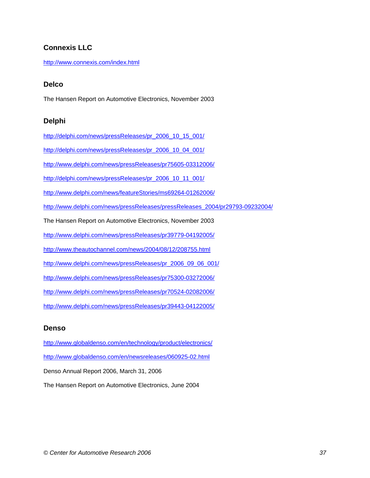# **Connexis LLC**

http://www.connexis.com/index.html

### **Delco**

The Hansen Report on Automotive Electronics, November 2003

### **Delphi**

http://delphi.com/news/pressReleases/pr\_2006\_10\_15\_001/

http://delphi.com/news/pressReleases/pr\_2006\_10\_04\_001/

http://www.delphi.com/news/pressReleases/pr75605-03312006/

http://delphi.com/news/pressReleases/pr\_2006\_10\_11\_001/

http://www.delphi.com/news/featureStories/ms69264-01262006/

http://www.delphi.com/news/pressReleases/pressReleases\_2004/pr29793-09232004/

The Hansen Report on Automotive Electronics, November 2003

http://www.delphi.com/news/pressReleases/pr39779-04192005/

http://www.theautochannel.com/news/2004/08/12/208755.html

http://www.delphi.com/news/pressReleases/pr\_2006\_09\_06\_001/

http://www.delphi.com/news/pressReleases/pr75300-03272006/

http://www.delphi.com/news/pressReleases/pr70524-02082006/

http://www.delphi.com/news/pressReleases/pr39443-04122005/

#### **Denso**

http://www.globaldenso.com/en/technology/product/electronics/ http://www.globaldenso.com/en/newsreleases/060925-02.html Denso Annual Report 2006, March 31, 2006 The Hansen Report on Automotive Electronics, June 2004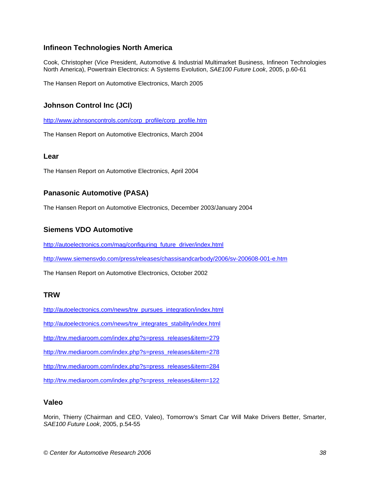# **Infineon Technologies North America**

Cook, Christopher (Vice President, Automotive & Industrial Multimarket Business, Infineon Technologies North America), Powertrain Electronics: A Systems Evolution, *SAE100 Future Look*, 2005, p.60-61

The Hansen Report on Automotive Electronics, March 2005

# **Johnson Control Inc (JCI)**

http://www.johnsoncontrols.com/corp\_profile/corp\_profile.htm

The Hansen Report on Automotive Electronics, March 2004

#### **Lear**

The Hansen Report on Automotive Electronics, April 2004

# **Panasonic Automotive (PASA)**

The Hansen Report on Automotive Electronics, December 2003/January 2004

### **Siemens VDO Automotive**

http://autoelectronics.com/mag/configuring\_future\_driver/index.html

http://www.siemensvdo.com/press/releases/chassisandcarbody/2006/sv-200608-001-e.htm

The Hansen Report on Automotive Electronics, October 2002

### **TRW**

http://autoelectronics.com/news/trw\_pursues\_integration/index.html

http://autoelectronics.com/news/trw\_integrates\_stability/index.html

http://trw.mediaroom.com/index.php?s=press\_releases&item=279

http://trw.mediaroom.com/index.php?s=press\_releases&item=278

http://trw.mediaroom.com/index.php?s=press\_releases&item=284

http://trw.mediaroom.com/index.php?s=press\_releases&item=122

### **Valeo**

Morin, Thierry (Chairman and CEO, Valeo), Tomorrow's Smart Car Will Make Drivers Better, Smarter, *SAE100 Future Look*, 2005, p.54-55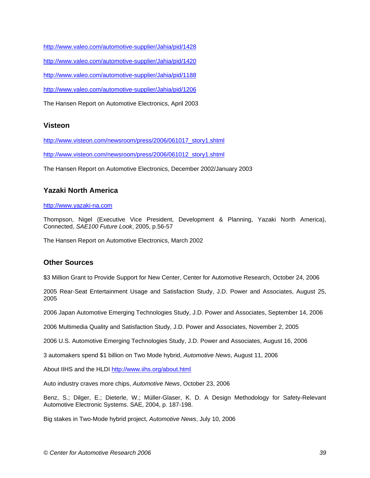http://www.valeo.com/automotive-supplier/Jahia/pid/1428 http://www.valeo.com/automotive-supplier/Jahia/pid/1420 http://www.valeo.com/automotive-supplier/Jahia/pid/1188 http://www.valeo.com/automotive-supplier/Jahia/pid/1206

The Hansen Report on Automotive Electronics, April 2003

# **Visteon**

http://www.visteon.com/newsroom/press/2006/061017\_story1.shtml

http://www.visteon.com/newsroom/press/2006/061012\_story1.shtml

The Hansen Report on Automotive Electronics, December 2002/January 2003

# **Yazaki North America**

#### http://www.yazaki-na.com

Thompson, Nigel (Executive Vice President, Development & Planning, Yazaki North America), Connected, *SAE100 Future Look*, 2005, p.56-57

The Hansen Report on Automotive Electronics, March 2002

### **Other Sources**

\$3 Million Grant to Provide Support for New Center, Center for Automotive Research, October 24, 2006

2005 Rear-Seat Entertainment Usage and Satisfaction Study, J.D. Power and Associates, August 25, 2005

2006 Japan Automotive Emerging Technologies Study, J.D. Power and Associates, September 14, 2006

2006 Multimedia Quality and Satisfaction Study, J.D. Power and Associates, November 2, 2005

2006 U.S. Automotive Emerging Technologies Study, J.D. Power and Associates, August 16, 2006

3 automakers spend \$1 billion on Two Mode hybrid, *Automotive News*, August 11, 2006

About IIHS and the HLDI http://www.iihs.org/about.html

Auto industry craves more chips, *Automotive News*, October 23, 2006

Benz, S.; Dilger, E.; Dieterle, W.; Müller-Glaser, K. D. A Design Methodology for Safety-Relevant Automotive Electronic Systems. SAE, 2004, p. 187-198.

Big stakes in Two-Mode hybrid project, *Automotive News*, July 10, 2006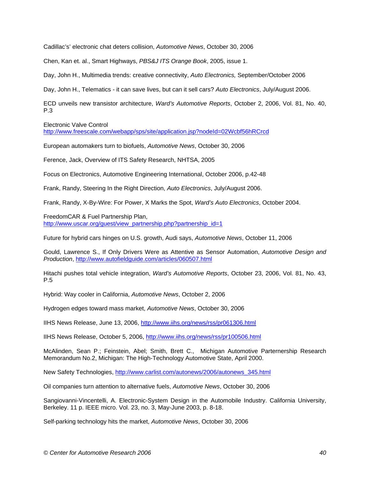Cadillac's' electronic chat deters collision, *Automotive News*, October 30, 2006

Chen, Kan et. al., Smart Highways, *PBS&J ITS Orange Book*, 2005, issue 1.

Day, John H., Multimedia trends: creative connectivity, *Auto Electronics,* September/October 2006

Day, John H., Telematics - it can save lives, but can it sell cars? *Auto Electronics*, July/August 2006.

ECD unveils new transistor architecture, *Ward's Automotive Reports*, October 2, 2006, Vol. 81, No. 40, P.3

Electronic Valve Control

http://www.freescale.com/webapp/sps/site/application.jsp?nodeId=02Wcbf56hRCrcd

European automakers turn to biofuels, *Automotive News*, October 30, 2006

Ference, Jack, Overview of ITS Safety Research, NHTSA, 2005

Focus on Electronics, Automotive Engineering International, October 2006, p.42-48

Frank, Randy, Steering In the Right Direction, *Auto Electronics*, July/August 2006.

Frank, Randy, X-By-Wire: For Power, X Marks the Spot, *Ward's Auto Electronics*, October 2004.

FreedomCAR & Fuel Partnership Plan,

http://www.uscar.org/guest/view\_partnership.php?partnership\_id=1

Future for hybrid cars hinges on U.S. growth, Audi says, *Automotive News*, October 11, 2006

Gould, Lawrence S., If Only Drivers Were as Attentive as Sensor Automation, *Automotive Design and Production*, http://www.autofieldguide.com/articles/060507.html

Hitachi pushes total vehicle integration, *Ward's Automotive Reports*, October 23, 2006, Vol. 81, No. 43, P.5

Hybrid: Way cooler in California, *Automotive News*, October 2, 2006

Hydrogen edges toward mass market, *Automotive News*, October 30, 2006

IIHS News Release, June 13, 2006, http://www.iihs.org/news/rss/pr061306.html

IIHS News Release, October 5, 2006, http://www.iihs.org/news/rss/pr100506.html

McAlinden, Sean P.; Feinstein, Abel; Smith, Brett C., Michigan Automotive Parternership Research Memorandum No.2, Michigan: The High-Technology Automotive State, April 2000.

New Safety Technologies, http://www.carlist.com/autonews/2006/autonews\_345.html

Oil companies turn attention to alternative fuels, *Automotive News*, October 30, 2006

Sangiovanni-Vincentelli, A. Electronic-System Design in the Automobile Industry. California University, Berkeley. 11 p. IEEE micro. Vol. 23, no. 3, May-June 2003, p. 8-18.

Self-parking technology hits the market, *Automotive News*, October 30, 2006